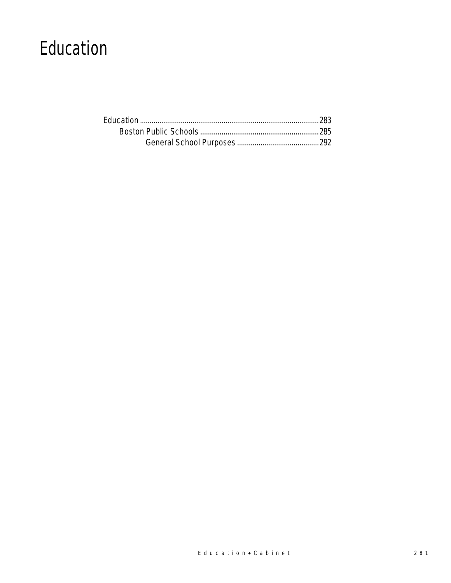# Education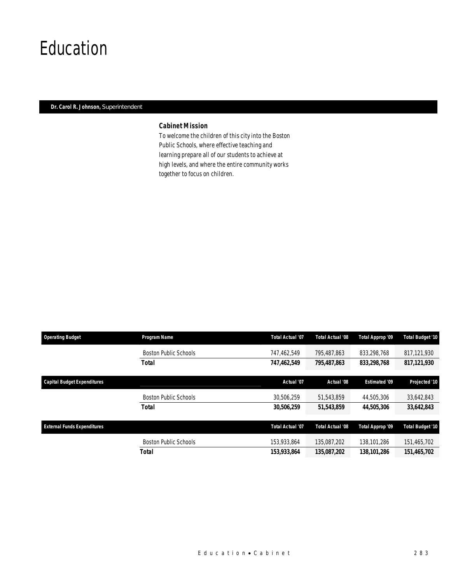# Education

# *Dr. Carol R. Johnson, Superintendent*

# *Cabinet Mission*

To welcome the children of this city into the Boston Public Schools, where effective teaching and learning prepare all of our students to achieve at high levels, and where the entire community works together to focus on children.

| <b>Operating Budget</b>            | Program Name                 | <b>Total Actual '07</b> | Total Actual '08 | Total Approp '09     | <b>Total Budget '10</b> |
|------------------------------------|------------------------------|-------------------------|------------------|----------------------|-------------------------|
|                                    | <b>Boston Public Schools</b> | 747,462,549             | 795.487.863      | 833,298,768          | 817,121,930             |
|                                    | <b>Total</b>                 | 747,462,549             | 795,487,863      | 833.298.768          | 817,121,930             |
| <b>Capital Budget Expenditures</b> |                              | Actual '07              | Actual '08       | <b>Estimated '09</b> | Projected '10           |
|                                    | <b>Boston Public Schools</b> | 30,506,259              | 51.543.859       | 44.505.306           | 33,642,843              |
|                                    | <b>Total</b>                 | 30,506,259              | 51,543,859       | 44,505,306           | 33,642,843              |
| <b>External Funds Expenditures</b> |                              | Total Actual '07        | Total Actual '08 | Total Approp '09     | <b>Total Budget '10</b> |
|                                    | <b>Boston Public Schools</b> | 153,933,864             | 135.087.202      | 138,101,286          | 151,465,702             |
|                                    | <b>Total</b>                 | 153,933,864             | 135,087,202      | 138,101,286          | 151,465,702             |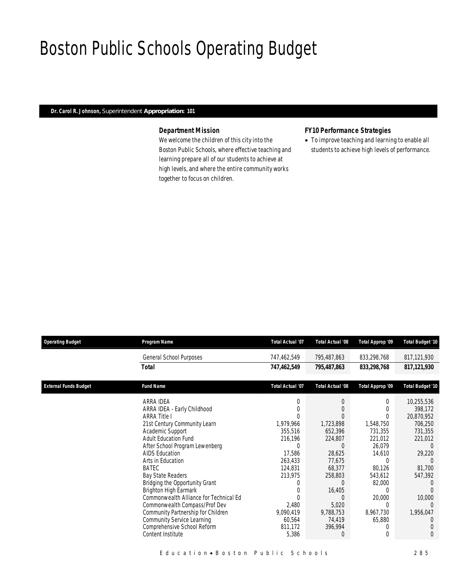# Boston Public Schools Operating Budget

# *Dr. Carol R. Johnson, Superintendent Appropriation: 101*

# *Department Mission*

We welcome the children of this city into the Boston Public Schools, where effective teaching and learning prepare all of our students to achieve at high levels, and where the entire community works together to focus on children.

# *FY10 Performance Strategies*

• To improve teaching and learning to enable all students to achieve high levels of performance.

| <b>Operating Budget</b>      | Program Name                           | <b>Total Actual '07</b> | <b>Total Actual '08</b> | Total Approp '09 | Total Budget '10 |
|------------------------------|----------------------------------------|-------------------------|-------------------------|------------------|------------------|
|                              | General School Purposes                | 747,462,549             | 795,487,863             | 833,298,768      | 817,121,930      |
|                              | <b>Total</b>                           | 747,462,549             | 795,487,863             | 833,298,768      | 817,121,930      |
| <b>External Funds Budget</b> | <b>Fund Name</b>                       | Total Actual '07        | Total Actual '08        | Total Approp '09 | Total Budget '10 |
|                              | ARRA IDEA                              |                         | $\Omega$                | 0                | 10,255,536       |
|                              | ARRA IDEA - Early Childhood            |                         |                         | 0                | 398,172          |
|                              | <b>ARRA Title I</b>                    |                         |                         | 0                | 20,870,952       |
|                              | 21st Century Community Learn           | 1,979,966               | 1,723,898               | 1,548,750        | 706,250          |
|                              | Academic Support                       | 355,516                 | 652,396                 | 731,355          | 731,355          |
|                              | <b>Adult Education Fund</b>            | 216,196                 | 224,807                 | 221,012          | 221,012          |
|                              | After School Program Lewenberg         | 0                       | $\Omega$                | 26,079           |                  |
|                              | <b>AIDS Education</b>                  | 17,586                  | 28,625                  | 14,610           | 29,220           |
|                              | Arts in Education                      | 263,433                 | 77,675                  |                  |                  |
|                              | BATEC                                  | 124,831                 | 68,377                  | 80,126           | 81,700           |
|                              | Bay State Readers                      | 213,975                 | 258,803                 | 543,612          | 547,392          |
|                              | Bridging the Opportunity Grant         |                         |                         | 82,000           |                  |
|                              | Brighton High Earmark                  |                         | 16,405                  | 0                |                  |
|                              | Commonwealth Alliance for Technical Ed |                         |                         | 20,000           | 10,000           |
|                              | Commonwealth Compass/Prof Dev          | 2,480                   | 5,020                   | 0                | $\Omega$         |
|                              | Community Partnership for Children     | 9,090,419               | 9,788,753               | 8,967,730        | 1,956,047        |
|                              | <b>Community Service Learning</b>      | 60,564                  | 74,419                  | 65,880           | $\left($         |
|                              | Comprehensive School Reform            | 811,172                 | 396,994                 | 0                |                  |
|                              | Content Institute                      | 5,386                   | $\overline{0}$          | $\Omega$         | $\Omega$         |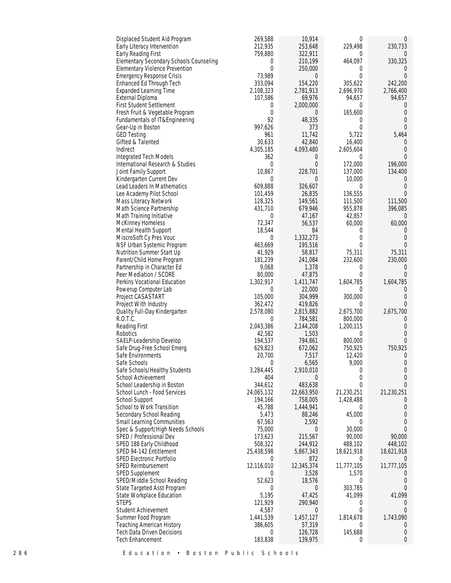| 269,588<br>Displaced Student Aid Program                                                              | 10,914              | 0                         | $\theta$             |
|-------------------------------------------------------------------------------------------------------|---------------------|---------------------------|----------------------|
| 212,935<br>Early Literacy Intervention                                                                | 253,648             | 229,498                   | 230,733              |
| 759,880<br>Early Reading First                                                                        | 322,911             | $\Omega$                  | $\Omega$             |
| Elementary Secondary Schools Counseling<br>0<br><b>Elementary Violence Prevention</b><br>$\mathbf{0}$ | 210,199             | 464,097                   | 330,325              |
| 73,989<br>Emergency Response Crisis                                                                   | 250,000<br>0        | $\theta$<br>$\Omega$      | 0<br>$\Omega$        |
| 333,094<br>Enhanced Ed Through Tech                                                                   | 154,220             | 305,622                   | 242,200              |
| <b>Expanded Learning Time</b><br>2,108,323                                                            | 2,781,913           | 2,696,970                 | 2,766,400            |
| External Diploma<br>107,586                                                                           | 69,976              | 94,657                    | 94,657               |
| <b>First Student Settlement</b><br>0                                                                  | 2,000,000           | $\Omega$                  | $\Omega$             |
| $\mathbf{0}$<br>Fresh Fruit & Vegetable Program                                                       | 0                   | 165,600                   | $\overline{0}$       |
| 92<br>Fundamentals of IT&Engineering                                                                  | 48,335              | $\mathbf{0}$              | $\Omega$             |
| 997,626<br>Gear-Up in Boston                                                                          | 373                 | $\overline{0}$            | $\Omega$             |
| <b>GED Testing</b><br>961                                                                             | 11,742              | 5,722                     | 5,464                |
| 30,633<br>Gifted & Talented<br>4,305,185<br>Indirect                                                  | 42,840<br>4,093,480 | 16,400                    | $\left($<br>$\Omega$ |
| Integrated Tech Models<br>362                                                                         | 0                   | 2,605,604<br>$\Omega$     | $\Omega$             |
| $\mathbf{0}$<br>International Research & Studies                                                      | $\overline{0}$      | 172,000                   | 196,000              |
| 10,867<br>Joint Family Support                                                                        | 228,701             | 137,000                   | 134,400              |
| Kindergarten Current Dev<br>$\Omega$                                                                  | 0                   | 10,000                    | $\overline{0}$       |
| 609,888<br>Lead Leaders In Mathematics                                                                | 326,607             | $\overline{0}$            | $\Omega$             |
| Lee Academy Pilot School<br>101,459                                                                   | 26,835              | 136,555                   | $\Omega$             |
| Mass Literacy Network<br>128,325                                                                      | 149,561             | 111,500                   | 111,500              |
| 431,710<br>Math Science Partnership                                                                   | 679,946             | 955,878                   | 396,085              |
| Math Training Initiative<br>0                                                                         | 47,167              | 42,857                    | $\Omega$             |
| 72,347<br>McKinney Homeless                                                                           | 56,537              | 60,000                    | 60,000               |
| 18,544<br>Mental Health Support                                                                       | 84<br>1,332,273     | $\Omega$<br>$\Omega$      | $\Omega$<br>$\Omega$ |
| MiscroSoft Cy Pres Vouc<br>$\mathbf 0$<br>NSF Urban Systemic Program<br>463,669                       | 195,516             | $\Omega$                  | $\overline{0}$       |
| 41,929<br>Nutrition Summer Start Up                                                                   | 58,817              | 75,311                    | 75,311               |
| 181,239<br>Parent/Child Home Program                                                                  | 241,084             | 232,600                   | 230,000              |
| 9,068<br>Partnership in Character Ed                                                                  | 1,378               | $\overline{0}$            | $\overline{0}$       |
| 80,000<br>Peer Mediation / SCORE                                                                      | 47,875              | $\theta$                  | $\Omega$             |
| 1,302,917<br>Perkins Vocational Education                                                             | 1,411,747           | 1,604,785                 | 1,604,785            |
| Powerup Computer Lab<br>$\theta$                                                                      | 22,000              | $\Omega$                  | $\theta$             |
| 105,000<br>Project CASASTART                                                                          | 304,999             | 300,000                   | $\Omega$             |
| Project With Industry<br>362,472                                                                      | 419,826             | $\overline{0}$            | $\Omega$             |
| Quality Full-Day Kindergarten<br>2,578,080                                                            | 2,815,882           | 2,675,700                 | 2,675,700            |
| R.O.T.C.<br>0<br>2,043,386                                                                            | 784,581             | 800,000                   | $\left($<br>$\Omega$ |
| Reading First<br>Robotics<br>42,582                                                                   | 2,144,208<br>1,503  | 1,200,115<br>$\mathbf{0}$ | $\Omega$             |
| 194,537<br>SAELP-Leadership Develop                                                                   | 794,861             | 800,000                   | $\Omega$             |
| 629,823<br>Safe Drug-Free School Emerg                                                                | 672,062             | 750,925                   | 750,925              |
| Safe Environments<br>20,700                                                                           | 7,517               | 12,420                    | 0                    |
| Safe Schools<br>$\theta$                                                                              | 6,565               | 9,000                     | $\Omega$             |
| Safe Schools/Healthy Students<br>3,284,445                                                            | 2,910,010           | 0                         | $\Omega$             |
| School Achievement<br>404                                                                             | 0                   | $\Omega$                  | $\theta$             |
| School Leadership in Boston<br>344,612                                                                | 483,638             | $\theta$                  | $\Omega$             |
| School Lunch - Food Services<br>24,065,132                                                            | 22,663,950          | 21,230,251                | 21,230,251           |
| School Support<br>194,166                                                                             | 758,005             | 1,428,488<br>$\Omega$     | $\Omega$<br>$\Omega$ |
| School to Work Transition<br>45,788<br>Secondary School Reading<br>5,473                              | 1,444,941<br>88,246 | 45,000                    |                      |
| <b>Small Learning Communities</b><br>67,563                                                           | 2,592               | $\overline{0}$            | $\Omega$             |
| 75,000<br>Spec & Support/High Needs Schools                                                           | 0                   | 30,000                    | $\Omega$             |
| SPED / Professional Dev<br>173,623                                                                    | 215,567             | 90,000                    | 90,000               |
| SPED 188 Early Childhood<br>508,322                                                                   | 244,912             | 488,102                   | 448,102              |
| SPED 94-142 Entitlement<br>25,438,598                                                                 | 5,867,343           | 18,621,918                | 18,621,918           |
| SPED Electronic Portfolio<br>$\theta$                                                                 | 872                 | $\overline{0}$            | $\Omega$             |
| 12,116,010<br><b>SPED Reimbursement</b>                                                               | 12,345,374          | 11,777,105                | 11,777,105           |
| SPED Supplement<br>0                                                                                  | 3,528               | 1,570                     | $\left($             |
| 52,623<br>SPED/Middle School Reading                                                                  | 18,576              | $\overline{0}$            | $\Omega$             |
| State Targeted Asst Program<br>$\Omega$                                                               | 0                   | 303,785                   | $\overline{0}$       |
| 5,195<br>State Workplace Education<br><b>STEPS</b><br>121,929                                         | 47,425<br>290,940   | 41,099<br>0               | 41,099<br>$\Omega$   |
| Student Achievement<br>4,587                                                                          | 0                   | $\overline{0}$            | $\theta$             |
| Summer Food Program<br>1,441,539                                                                      | 1,457,127           | 1,814,678                 | 1,743,090            |
| <b>Teaching American History</b><br>386,605                                                           | 57,319              | $\overline{0}$            | $\Omega$             |
| <b>Tech Data Driven Decisions</b><br>$\theta$                                                         | 126,728             | 145,688                   | 0                    |
| 183,838<br>Tech Enhancement                                                                           | 139,975             | $\mathbf{0}$              | $\theta$             |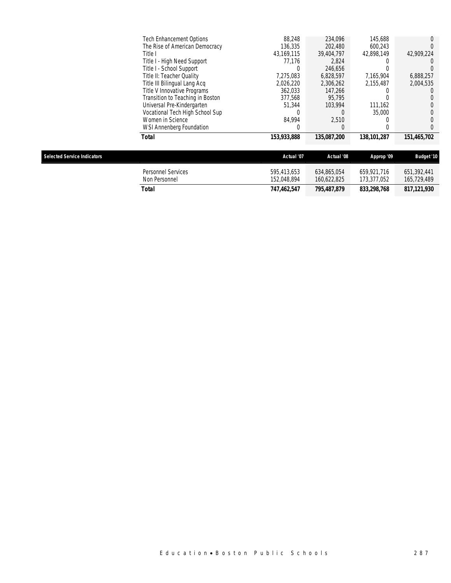| <b>Selected Service Indicators</b> |                                  | Actual '07  | Actual '08                | Approp '09  | <b>Budget '10</b> |
|------------------------------------|----------------------------------|-------------|---------------------------|-------------|-------------------|
|                                    | Total                            | 153,933,888 | <i><b>135,087,200</b></i> | 138,101,287 | 151,465,702       |
|                                    | WSI Annenberg Foundation         |             | $\Omega$                  |             |                   |
|                                    | Women in Science                 | 84.994      | 2.510                     |             |                   |
|                                    | Vocational Tech High School Sup  |             |                           | 35,000      |                   |
|                                    | Universal Pre-Kindergarten       | 51.344      | 103.994                   | 111.162     |                   |
|                                    | Transition to Teaching in Boston | 377.568     | 95.795                    |             |                   |
|                                    | Title V Innovative Programs      | 362,033     | 147.266                   |             |                   |
|                                    | Title III Bilingual Lang Acq     | 2,026,220   | 2,306,262                 | 2.155.487   | 2,004,535         |
|                                    | Title II: Teacher Quality        | 7.275.083   | 6,828,597                 | 7,165,904   | 6,888,257         |
|                                    | Title I - School Support         |             | 246.656                   |             |                   |
|                                    | Title I - High Need Support      | 77.176      | 2.824                     |             |                   |
|                                    | Title I                          | 43,169,115  | 39,404,797                | 42.898.149  | 42,909,224        |
|                                    | The Rise of American Democracy   | 136.335     | 202,480                   | 600.243     |                   |
|                                    | <b>Tech Enhancement Options</b>  | 88.248      | 234.096                   | 145,688     |                   |

| 833,298,768<br>795.487.879                                                                                                    |                            |
|-------------------------------------------------------------------------------------------------------------------------------|----------------------------|
| 634,865,054<br>595.413.653<br>659.921.716<br>Personnel Services<br>152.048.894<br>160.622.825<br>173.377.052<br>Non Personnel | 651,392,441<br>165,729,489 |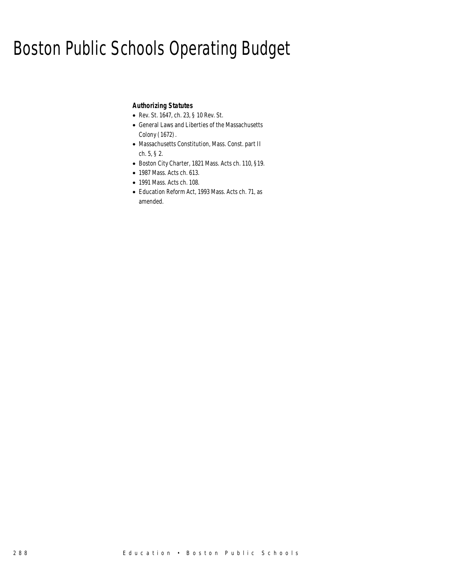# Boston Public Schools Operating Budget

# *Authorizing Statutes*

- Rev. St. 1647, ch. 23, § 10 Rev. St.
- General Laws and Liberties of the Massachusetts Colony (1672).
- Massachusetts Constitution, Mass. Const. part II ch. 5, § 2.
- Boston City Charter, 1821 Mass. Acts ch. 110, §19.
- 1987 Mass. Acts ch. 613.
- 1991 Mass. Acts ch. 108.
- Education Reform Act, 1993 Mass. Acts ch. 71, as amended.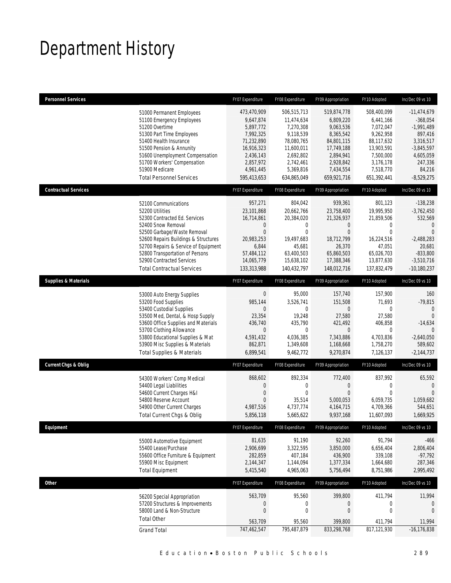# Department History

| <b>Personnel Services</b>       |                                                                                                                                                                                                                                                                                                                    | FY07 Expenditure                                                                                                                     | FY08 Expenditure                                                                                                                      | FY09 Appropriation                                                                                                                   | FY10 Adopted                                                                                                                         | Inc/Dec 09 vs 10                                                                                                                                   |
|---------------------------------|--------------------------------------------------------------------------------------------------------------------------------------------------------------------------------------------------------------------------------------------------------------------------------------------------------------------|--------------------------------------------------------------------------------------------------------------------------------------|---------------------------------------------------------------------------------------------------------------------------------------|--------------------------------------------------------------------------------------------------------------------------------------|--------------------------------------------------------------------------------------------------------------------------------------|----------------------------------------------------------------------------------------------------------------------------------------------------|
|                                 | 51000 Permanent Employees<br>51100 Emergency Employees<br>51200 Overtime<br>51300 Part Time Employees<br>51400 Health Insurance<br>51500 Pension & Annunity<br>51600 Unemployment Compensation<br>51700 Workers' Compensation<br>51900 Medicare<br><b>Total Personnel Services</b>                                 | 473,470,909<br>9,647,874<br>5,897,772<br>7,992,325<br>71,232,890<br>16,916,323<br>2,436,143<br>2,857,972<br>4,961,445<br>595,413,653 | 506,515,713<br>11,474,634<br>7,270,308<br>9,118,539<br>78,080,765<br>11,600,011<br>2,692,802<br>2,742,461<br>5,369,816<br>634.865.049 | 519,874,778<br>6,809,220<br>9,063,536<br>8,365,542<br>84,801,115<br>17,749,188<br>2,894,941<br>2,928,842<br>7,434,554<br>659,921,716 | 508,400,099<br>6,441,166<br>7,072,047<br>9,262,958<br>88,117,632<br>13,903,591<br>7,500,000<br>3,176,178<br>7,518,770<br>651,392,441 | $-11,474,679$<br>$-368,054$<br>$-1,991,489$<br>897,416<br>3,316,517<br>$-3,845,597$<br>4,605,059<br>247,336<br>84,216<br>$-8,529,275$              |
| <b>Contractual Services</b>     |                                                                                                                                                                                                                                                                                                                    | FY07 Expenditure                                                                                                                     | FY08 Expenditure                                                                                                                      | FY09 Appropriation                                                                                                                   | FY10 Adopted                                                                                                                         | Inc/Dec 09 vs 10                                                                                                                                   |
|                                 | 52100 Communications<br>52200 Utilities<br>52300 Contracted Ed. Services<br>52400 Snow Removal<br>52500 Garbage/Waste Removal<br>52600 Repairs Buildings & Structures<br>52700 Repairs & Service of Equipment<br>52800 Transportation of Persons<br>52900 Contracted Services<br><b>Total Contractual Services</b> | 957,271<br>23,101,868<br>16,714,861<br>0<br>$\mathbf 0$<br>20,983,253<br>6,844<br>57.484.112<br>14,065,779<br>133,313,988            | 804,042<br>20,662,766<br>20,384,020<br>$\mathbf 0$<br>$\mathbf{0}$<br>19,497,683<br>45,681<br>63,400,503<br>15,638,102<br>140,432,797 | 939,361<br>23,758,400<br>21,326,937<br>$\theta$<br>$\overline{0}$<br>18,712,799<br>26,370<br>65,860,503<br>17,388,346<br>148,012,716 | 801,123<br>19,995,950<br>21,859,506<br>$\mathbf 0$<br>$\mathbf 0$<br>16,224,516<br>47,051<br>65,026,703<br>13,877,630<br>137,832,479 | $-138,238$<br>$-3,762,450$<br>532,569<br>$\overline{0}$<br>$\overline{0}$<br>$-2,488,283$<br>20,681<br>$-833,800$<br>$-3,510,716$<br>$-10,180,237$ |
| <b>Supplies &amp; Materials</b> |                                                                                                                                                                                                                                                                                                                    | FY07 Expenditure                                                                                                                     | FY08 Expenditure                                                                                                                      | FY09 Appropriation                                                                                                                   | FY10 Adopted                                                                                                                         | Inc/Dec 09 vs 10                                                                                                                                   |
|                                 | 53000 Auto Energy Supplies<br>53200 Food Supplies<br>53400 Custodial Supplies<br>53500 Med, Dental, & Hosp Supply<br>53600 Office Supplies and Materials<br>53700 Clothing Allowance<br>53800 Educational Supplies & Mat<br>53900 Misc Supplies & Materials<br><b>Total Supplies &amp; Materials</b>               | $\boldsymbol{0}$<br>985,144<br>0<br>23,354<br>436,740<br>$\boldsymbol{0}$<br>4,591,432<br>862,871<br>6,899,541                       | 95,000<br>3,526,741<br>$\mathbf{0}$<br>19,248<br>435,790<br>$\mathbf 0$<br>4,036,385<br>1,349,608<br>9,462,772                        | 157,740<br>151,508<br>$\theta$<br>27,580<br>421,492<br>$\mathbf 0$<br>7,343,886<br>1,168,668<br>9,270,874                            | 157,900<br>71,693<br>0<br>27,580<br>406,858<br>0<br>4,703,836<br>1,758,270<br>7,126,137                                              | 160<br>$-79,815$<br>$\mathbf{0}$<br>$\Omega$<br>$-14,634$<br>$\mathbf{0}$<br>$-2,640,050$<br>589,602<br>$-2,144,737$                               |
| Current Chgs & Oblig            |                                                                                                                                                                                                                                                                                                                    | FY07 Expenditure                                                                                                                     | FY08 Expenditure                                                                                                                      | FY09 Appropriation                                                                                                                   | FY10 Adopted                                                                                                                         | Inc/Dec 09 vs 10                                                                                                                                   |
|                                 | 54300 Workers' Comp Medical<br>54400 Legal Liabilities<br>54600 Current Charges H&I<br>54800 Reserve Account<br>54900 Other Current Charges<br>Total Current Chgs & Oblig                                                                                                                                          | 868,602<br>$\boldsymbol{0}$<br>$\overline{0}$<br>$\boldsymbol{0}$<br>4,987,516<br>5,856,118                                          | 892,334<br>$\mathbf 0$<br>$\mathbf 0$<br>35,514<br>4,737,774<br>5,665,622                                                             | 772,400<br>$\theta$<br>$\overline{0}$<br>5,000,053<br>4, 164, 715<br>9,937,168                                                       | 837,992<br>$\boldsymbol{0}$<br>$\mathbf{0}$<br>6,059,735<br>4,709,366<br>11,607,093                                                  | 65,592<br>$\theta$<br>$\overline{0}$<br>1.059.682<br>544,651<br>1,669,925                                                                          |
| Equipment                       |                                                                                                                                                                                                                                                                                                                    | FY07 Expenditure                                                                                                                     | FY08 Expenditure                                                                                                                      | FY09 Appropriation                                                                                                                   | FY10 Adopted                                                                                                                         | Inc/Dec 09 vs 10                                                                                                                                   |
|                                 | 55000 Automotive Equipment<br>55400 Lease/Purchase<br>55600 Office Furniture & Equipment<br>55900 Misc Equipment<br><b>Total Equipment</b>                                                                                                                                                                         | 81,635<br>2,906,699<br>282,859<br>2,144,347<br>5,415,540                                                                             | 91,190<br>3,322,595<br>407,184<br>1,144,094<br>4,965,063                                                                              | 92,260<br>3,850,000<br>436,900<br>1,377,334<br>5,756,494                                                                             | 91,794<br>6,656,404<br>339,108<br>1,664,680<br>8,751,986                                                                             | $-466$<br>2,806,404<br>$-97,792$<br>287,346<br>2,995,492                                                                                           |
| Other                           |                                                                                                                                                                                                                                                                                                                    | FY07 Expenditure                                                                                                                     | FY08 Expenditure                                                                                                                      | FY09 Appropriation                                                                                                                   | FY10 Adopted                                                                                                                         | Inc/Dec 09 vs 10                                                                                                                                   |
|                                 | 56200 Special Appropriation<br>57200 Structures & Improvements<br>58000 Land & Non-Structure<br><b>Total Other</b><br><b>Grand Total</b>                                                                                                                                                                           | 563,709<br>$\boldsymbol{0}$<br>$\boldsymbol{0}$<br>563,709<br>747,462,547                                                            | 95,560<br>$\boldsymbol{0}$<br>$\mathbf 0$<br>95,560<br>795,487,879                                                                    | 399,800<br>$\boldsymbol{0}$<br>$\boldsymbol{0}$<br>399,800<br>833,298,768                                                            | 411,794<br>$\boldsymbol{0}$<br>$\boldsymbol{0}$<br>411,794<br>817,121,930                                                            | 11,994<br>0<br>$\mathbf{0}$<br>11,994<br>$-16, 176, 838$                                                                                           |
|                                 |                                                                                                                                                                                                                                                                                                                    |                                                                                                                                      |                                                                                                                                       |                                                                                                                                      |                                                                                                                                      |                                                                                                                                                    |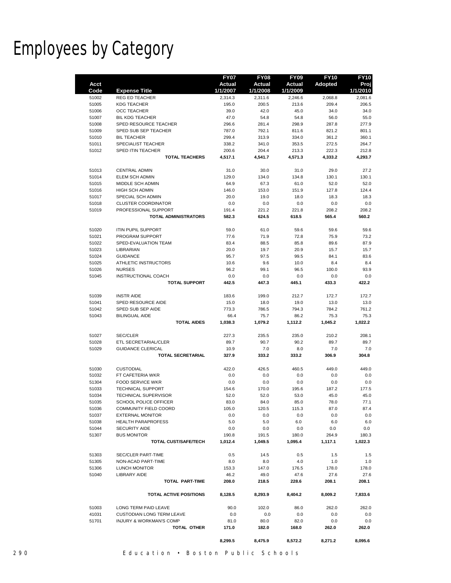# Employees by Category

|                |                                           | <b>FY07</b>   | <b>FY08</b>   | <b>FY09</b>   | <b>FY10</b>    | <b>FY10</b>   |
|----------------|-------------------------------------------|---------------|---------------|---------------|----------------|---------------|
| Acct           |                                           | Actual        | Actual        | <b>Actual</b> | <b>Adopted</b> | Proj          |
| Code           | <b>Expense Title</b>                      | 1/1/2007      | 1/1/2008      | 1/1/2009      |                | 1/1/2010      |
| 51002          | <b>REG ED TEACHER</b>                     | 2,314.3       | 2,311.6       | 2,246.6       | 2,068.8        | 2,081.6       |
| 51005          | <b>KDG TEACHER</b>                        | 195.0         | 200.5         | 213.6         | 209.4          | 206.5         |
| 51006          | OCC TEACHER                               | 39.0          | 42.0          | 45.0          | 34.0           | 34.0          |
| 51007          | <b>BIL KDG TEACHER</b>                    | 47.0          | 54.8          | 54.8          | 56.0           | 55.0          |
| 51008          | SPED RESOURCE TEACHER                     | 296.6         | 281.4         | 298.9         | 287.8          | 277.9         |
| 51009          | SPED SUB SEP TEACHER                      | 787.0         | 792.1         | 811.6         | 821.2          | 801.1         |
| 51010          | <b>BIL TEACHER</b>                        | 299.4         | 313.9         | 334.0         | 361.2          | 360.1         |
| 51011          | SPECIALIST TEACHER                        | 338.2         | 341.0         | 353.5         | 272.5          | 264.7         |
| 51012          | <b>SPED ITIN TEACHER</b>                  | 200.6         | 204.4         | 213.3         | 222.3          | 212.8         |
|                | <b>TOTAL TEACHERS</b>                     | 4,517.1       | 4,541.7       | 4,571.3       | 4,333.2        | 4,293.7       |
|                |                                           |               |               |               |                |               |
| 51013          | <b>CENTRAL ADMIN</b>                      | 31.0          | 30.0          | 31.0          | 29.0           | 27.2          |
| 51014          | <b>ELEM SCH ADMIN</b>                     | 129.0         | 134.0         | 134.8         | 130.1<br>52.0  | 130.1         |
| 51015          | MIDDLE SCH ADMIN<br><b>HIGH SCH ADMIN</b> | 64.9          | 67.3          | 61.0          |                | 52.0          |
| 51016<br>51017 | SPECIAL SCH ADMIN                         | 146.0<br>20.0 | 153.0<br>19.0 | 151.9<br>18.0 | 127.8<br>18.3  | 124.4<br>18.3 |
| 51018          | CLUSTER COORDINATOR                       | 0.0           | 0.0           | 0.0           | 0.0            | 0.0           |
| 51019          | PROFESSIONAL SUPPORT                      | 191.4         | 221.2         | 221.8         | 208.2          | 208.2         |
|                | <b>TOTAL ADMINISTRATORS</b>               | 582.3         | 624.5         | 618.5         | 565.4          | 560.2         |
|                |                                           |               |               |               |                |               |
| 51020          | <b>ITIN PUPIL SUPPORT</b>                 | 59.0          | 61.0          | 59.6          | 59.6           | 59.6          |
| 51021          | PROGRAM SUPPORT                           | 77.6          | 71.9          | 72.8          | 75.9           | 73.2          |
| 51022          | SPED-EVALUATION TEAM                      | 83.4          | 88.5          | 85.8          | 89.6           | 87.9          |
| 51023          | LIBRARIAN                                 | 20.0          | 19.7          | 20.9          | 15.7           | 15.7          |
| 51024          | <b>GUIDANCE</b>                           | 95.7          | 97.5          | 99.5          | 84.1           | 83.6          |
| 51025          | ATHLETIC INSTRUCTORS                      | 10.6          | 9.6           | 10.0          | 8.4            | 8.4           |
| 51026          | <b>NURSES</b>                             | 96.2          | 99.1          | 96.5          | 100.0          | 93.9          |
| 51045          | INSTRUCTIONAL COACH                       | 0.0           | 0.0           | 0.0           | 0.0            | 0.0           |
|                | <b>TOTAL SUPPORT</b>                      | 442.5         | 447.3         | 445.1         | 433.3          | 422.2         |
|                |                                           |               |               |               |                |               |
| 51039          | <b>INSTR AIDE</b>                         | 183.6         | 199.0         | 212.7         | 172.7          | 172.7         |
| 51041          | SPED RESOURCE AIDE                        | 15.0          | 18.0          | 19.0          | 13.0           | 13.0          |
| 51042          | SPED SUB SEP AIDE                         | 773.3         | 786.5         | 794.3         | 784.2          | 761.2         |
| 51043          | <b>BILINGUAL AIDE</b>                     | 66.4          | 75.7          | 86.2          | 75.3           | 75.3          |
|                | <b>TOTAL AIDES</b>                        | 1,038.3       | 1,079.2       | 1,112.2       | 1,045.2        | 1,022.2       |
|                |                                           |               |               |               |                |               |
| 51027          | <b>SEC/CLER</b><br>ETL SECRETARIAL/CLER   | 227.3         | 235.5         | 235.0<br>90.2 | 210.2          | 208.1         |
| 51028<br>51029 | <b>GUIDANCE CLERICAL</b>                  | 89.7<br>10.9  | 90.7<br>7.0   | 8.0           | 89.7<br>7.0    | 89.7<br>7.0   |
|                | <b>TOTAL SECRETARIAL</b>                  | 327.9         | 333.2         | 333.2         | 306.9          | 304.8         |
|                |                                           |               |               |               |                |               |
| 51030          | <b>CUSTODIAL</b>                          | 422.0         | 426.5         | 460.5         | 449.0          | 449.0         |
| 51032          | FT CAFETERIA WKR                          | 0.0           | 0.0           | 0.0           | 0.0            | 0.0           |
| 51304          | <b>FOOD SERVICE WKR</b>                   | 0.0           | 0.0           | 0.0           | 0.0            | 0.0           |
| 51033          | TECHNICAL SUPPORT                         | 154.6         | 170.0         | 195.6         | 187.2          | 177.5         |
| 51034          | <b>TECHNICAL SUPERVISOR</b>               | 52.0          | 52.0          | 53.0          | 45.0           | 45.0          |
| 51035          | SCHOOL POLICE OFFICER                     | 83.0          | 84.0          | 85.0          | 78.0           | 77.1          |
| 51036          | COMMUNITY FIELD COORD                     | 105.0         | 120.5         | 115.3         | 87.0           | 87.4          |
| 51037          | <b>EXTERNAL MONITOR</b>                   | 0.0           | 0.0           | 0.0           | 0.0            | 0.0           |
| 51038          | <b>HEALTH PARAPROFESS</b>                 | 5.0           | 5.0           | 6.0           | 6.0            | 6.0           |
| 51044          | <b>SECURITY AIDE</b>                      | 0.0           | 0.0           | 0.0           | 0.0            | 0.0           |
| 51307          | <b>BUS MONITOR</b>                        | 190.8         | 191.5         | 180.0         | 264.9          | 180.3         |
|                | <b>TOTAL CUST/SAFE/TECH</b>               | 1,012.4       | 1,049.5       | 1,095.4       | 1,117.1        | 1,022.3       |
|                |                                           |               |               |               |                |               |
| 51303          | <b>SEC/CLER PART-TIME</b>                 | 0.5           | 14.5          | 0.5           | 1.5            | 1.5           |
| 51305          | NON-ACAD PART-TIME                        | 8.0           | 8.0           | 4.0           | 1.0            | 1.0           |
| 51306          | LUNCH MONITOR                             | 153.3         | 147.0         | 176.5         | 178.0          | 178.0         |
| 51040          | LIBRARY AIDE<br><b>TOTAL PART-TIME</b>    | 46.2<br>208.0 | 49.0<br>218.5 | 47.6<br>228.6 | 27.6<br>208.1  | 27.6<br>208.1 |
|                |                                           |               |               |               |                |               |
|                | <b>TOTAL ACTIVE POSITIONS</b>             | 8,128.5       | 8,293.9       | 8,404.2       | 8,009.2        | 7,833.6       |
| 51003          | LONG TERM PAID LEAVE                      | 90.0          | 102.0         | 86.0          | 262.0          | 262.0         |
| 41031          | <b>CUSTODIAN LONG TERM LEAVE</b>          | 0.0           | 0.0           | 0.0           | 0.0            | 0.0           |
| 51701          | <b>INJURY &amp; WORKMAN'S COMP</b>        | 81.0          | 80.0          | 82.0          | 0.0            | 0.0           |
|                | TOTAL OTHER                               | 171.0         | 182.0         | 168.0         | 262.0          | 262.0         |
|                |                                           |               |               |               |                |               |
|                |                                           | 8,299.5       | 8,475.9       | 8,572.2       | 8,271.2        | 8,095.6       |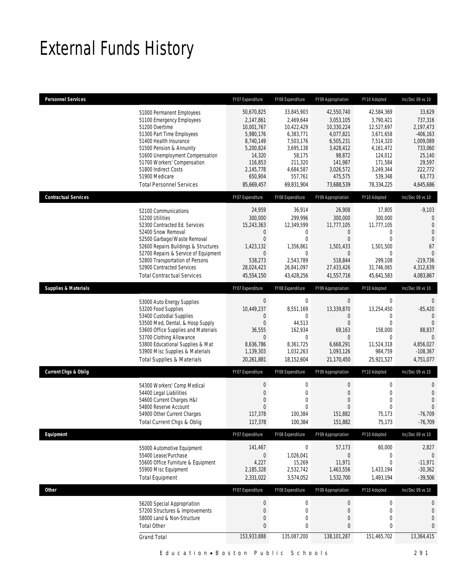# External Funds History

| <b>Personnel Services</b>       |                                                                                                                                                                                                                                                                                                                    | FY07 Expenditure                                                                                                                        | FY08 Expenditure                                                                                                                        | FY09 Appropriation                                                                                                                      | FY10 Adopted                                                                                                                             | Inc/Dec 09 vs 10                                                                                                              |
|---------------------------------|--------------------------------------------------------------------------------------------------------------------------------------------------------------------------------------------------------------------------------------------------------------------------------------------------------------------|-----------------------------------------------------------------------------------------------------------------------------------------|-----------------------------------------------------------------------------------------------------------------------------------------|-----------------------------------------------------------------------------------------------------------------------------------------|------------------------------------------------------------------------------------------------------------------------------------------|-------------------------------------------------------------------------------------------------------------------------------|
|                                 | 51000 Permanent Employees<br>51100 Emergency Employees<br>51200 Overtime<br>51300 Part Time Employees<br>51400 Health Insurance<br>51500 Pension & Annunity<br>51600 Unemployment Compensation<br>51700 Workers' Compensation<br>51800 Indirect Costs<br>51900 Medicare<br><b>Total Personnel Services</b>         | 50,670,825<br>2,147,861<br>10,001,767<br>5,980,176<br>8,740,149<br>5,200,824<br>14,320<br>116,853<br>2,145,778<br>650,904<br>85,669,457 | 33,845,903<br>2,469,644<br>10,422,429<br>6,383,771<br>7,503,176<br>3,695,138<br>58,175<br>211,320<br>4,684,587<br>557,761<br>69,831,904 | 42,550,740<br>3,053,105<br>10,330,224<br>4,077,821<br>6,505,231<br>3,428,412<br>98,872<br>141,987<br>3,026,572<br>475,575<br>73,688,539 | 42,584,369<br>3,790,421<br>12,527,697<br>3,671,658<br>7,514,320<br>4,161,472<br>124,012<br>171,584<br>3,249,344<br>539,348<br>78,334,225 | 33,629<br>737,316<br>2,197,473<br>$-406, 163$<br>1,009,089<br>733,060<br>25,140<br>29,597<br>222,772<br>63,773<br>4,645,686   |
| <b>Contractual Services</b>     |                                                                                                                                                                                                                                                                                                                    | FY07 Expenditure                                                                                                                        | FY08 Expenditure                                                                                                                        | FY09 Appropriation                                                                                                                      | FY10 Adopted                                                                                                                             | Inc/Dec 09 vs 10                                                                                                              |
|                                 | 52100 Communications<br>52200 Utilities<br>52300 Contracted Ed. Services<br>52400 Snow Removal<br>52500 Garbage/Waste Removal<br>52600 Repairs Buildings & Structures<br>52700 Repairs & Service of Equipment<br>52800 Transportation of Persons<br>52900 Contracted Services<br><b>Total Contractual Services</b> | 24,959<br>300,000<br>15,243,363<br>0<br>$\overline{0}$<br>1,423,132<br>$\mathbf 0$<br>538,273<br>28,024,423<br>45,554,150               | 36,914<br>299,996<br>12,349,599<br>0<br>0<br>1,356,861<br>$\mathbf{0}$<br>2,543,789<br>26,841,097<br>43,428,256                         | 26,908<br>300,000<br>11,777,105<br>0<br>$\overline{0}$<br>1,501,433<br>$\overline{0}$<br>518,844<br>27,433,426<br>41,557,716            | 17,805<br>300,000<br>11,777,105<br>0<br>$\mathbf{0}$<br>1,501,500<br>$\mathbf 0$<br>299,108<br>31,746,065<br>45,641,583                  | $-9,103$<br>$\mathbf 0$<br>$\mathbf{0}$<br>$\mathbf{0}$<br>$\theta$<br>67<br>$\Omega$<br>$-219,736$<br>4,312,639<br>4,083,867 |
| <b>Supplies &amp; Materials</b> |                                                                                                                                                                                                                                                                                                                    | FY07 Expenditure                                                                                                                        | FY08 Expenditure                                                                                                                        | FY09 Appropriation                                                                                                                      | FY10 Adopted                                                                                                                             | Inc/Dec 09 vs 10                                                                                                              |
|                                 | 53000 Auto Energy Supplies<br>53200 Food Supplies<br>53400 Custodial Supplies<br>53500 Med, Dental, & Hosp Supply<br>53600 Office Supplies and Materials<br>53700 Clothing Allowance<br>53800 Educational Supplies & Mat<br>53900 Misc Supplies & Materials<br><b>Total Supplies &amp; Materials</b>               | $\mathbf 0$<br>10,449,237<br>0<br>0<br>36,555<br>$\overline{0}$<br>8,636,786<br>1,139,303<br>20,261,881                                 | $\mathbf 0$<br>8,551,169<br>0<br>44,513<br>162,934<br>$\mathbf{0}$<br>8,361,725<br>1,032,263<br>18,152,604                              | $\mathbf 0$<br>13,339,870<br>0<br>$\overline{0}$<br>69,163<br>$\overline{0}$<br>6,668,291<br>1,093,126<br>21,170,450                    | 0<br>13,254,450<br>0<br>$\mathbf{0}$<br>158,000<br>$\mathbf 0$<br>11,524,318<br>984,759<br>25,921,527                                    | 0<br>$-85,420$<br>$\Omega$<br>$\theta$<br>88,837<br>$\theta$<br>4,856,027<br>$-108,367$<br>4,751,077                          |
| <b>Current Chgs &amp; Oblig</b> |                                                                                                                                                                                                                                                                                                                    | FY07 Expenditure                                                                                                                        | FY08 Expenditure                                                                                                                        | FY09 Appropriation                                                                                                                      | FY10 Adopted                                                                                                                             | Inc/Dec 09 vs 10                                                                                                              |
|                                 | 54300 Workers' Comp Medical<br>54400 Legal Liabilities<br>54600 Current Charges H&I<br>54800 Reserve Account<br>54900 Other Current Charges<br>Total Current Chgs & Oblig                                                                                                                                          | $\mathbf 0$<br>$\overline{0}$<br>0<br>0<br>117,378<br>117,378                                                                           | $\mathbf 0$<br>$\overline{0}$<br>0<br>0<br>100,384<br>100,384                                                                           | 0<br>$\mathbf{0}$<br>0<br>$\overline{0}$<br>151,882<br>151,882                                                                          | $\mathbf 0$<br>$\mathbf 0$<br>$\mathbf 0$<br>$\mathbf{0}$<br>75,173<br>75,173                                                            | 0<br>$\mathbf{0}$<br>$\mathbf{0}$<br>$\theta$<br>$-76,709$<br>$-76,709$                                                       |
| Equipment                       |                                                                                                                                                                                                                                                                                                                    | FY07 Expenditure                                                                                                                        | FY08 Expenditure                                                                                                                        | FY09 Appropriation                                                                                                                      | FY10 Adopted                                                                                                                             | Inc/Dec 09 vs 10                                                                                                              |
|                                 | 55000 Automotive Equipment<br>55400 Lease/Purchase<br>55600 Office Furniture & Equipment<br>55900 Misc Equipment<br><b>Total Equipment</b>                                                                                                                                                                         | 141,467<br>$\overline{0}$<br>4,227<br>2,185,328<br>2,331,022                                                                            | $\mathbf 0$<br>1,026,041<br>15,269<br>2,532,742<br>3,574,052                                                                            | 57,173<br>0<br>11,971<br>1,463,556<br>1,532,700                                                                                         | 60,000<br>0<br>$\mathbf 0$<br>1,433,194<br>1,493,194                                                                                     | 2,827<br>0<br>$-11,971$<br>$-30,362$<br>$-39,506$                                                                             |
| Other                           |                                                                                                                                                                                                                                                                                                                    | FY07 Expenditure                                                                                                                        | FY08 Expenditure                                                                                                                        | FY09 Appropriation                                                                                                                      | FY10 Adopted                                                                                                                             | Inc/Dec 09 vs 10                                                                                                              |
|                                 | 56200 Special Appropriation<br>57200 Structures & Improvements<br>58000 Land & Non-Structure<br><b>Total Other</b>                                                                                                                                                                                                 | $\pmb{0}$<br>$\pmb{0}$<br>$\boldsymbol{0}$<br>0                                                                                         | $\boldsymbol{0}$<br>$\boldsymbol{0}$<br>$\mathbf 0$<br>0                                                                                | $\boldsymbol{0}$<br>$\boldsymbol{0}$<br>$\boldsymbol{0}$<br>0                                                                           | $\boldsymbol{0}$<br>$\boldsymbol{0}$<br>$\mathbf 0$<br>0                                                                                 | 0<br>$\theta$<br>$\theta$<br>0                                                                                                |
|                                 | <b>Grand Total</b>                                                                                                                                                                                                                                                                                                 | 153,933,888                                                                                                                             | 135,087,200                                                                                                                             | 138,101,287                                                                                                                             | 151,465,702                                                                                                                              | 13,364,415                                                                                                                    |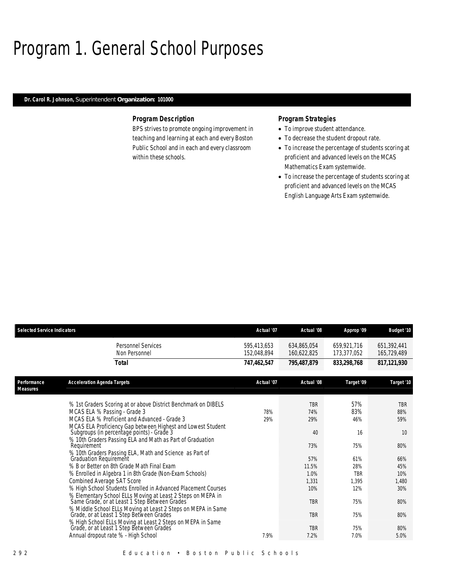# Program 1. General School Purposes

# *Dr. Carol R. Johnson, Superintendent Organization: 101000*

### *Program Description*

BPS strives to promote ongoing improvement in teaching and learning at each and every Boston Public School and in each and every classroom within these schools.

# *Program Strategies*

- To improve student attendance.
- To decrease the student dropout rate.
- To increase the percentage of students scoring at proficient and advanced levels on the MCAS Mathematics Exam systemwide.
- To increase the percentage of students scoring at proficient and advanced levels on the MCAS English Language Arts Exam systemwide.

| <b>Selected Service Indicators</b> |                                                                                                                                                                                                   | Actual '07                 | Actual '08                 | Approp '09                 | <b>Budget '10</b>          |
|------------------------------------|---------------------------------------------------------------------------------------------------------------------------------------------------------------------------------------------------|----------------------------|----------------------------|----------------------------|----------------------------|
|                                    | Personnel Services<br>Non Personnel                                                                                                                                                               | 595,413,653<br>152,048,894 | 634,865,054<br>160.622.825 | 659,921,716<br>173.377.052 | 651,392,441<br>165,729,489 |
|                                    | Total                                                                                                                                                                                             | 747,462,547                | 795,487,879                | 833,298,768                | 817, 121, 930              |
| Performance<br><b>Measures</b>     | <b>Acceleration Agenda Targets</b>                                                                                                                                                                | Actual '07                 | Actual '08                 | Target '09                 | Target '10                 |
|                                    | % 1st Graders Scoring at or above District Benchmark on DIBELS<br>MCAS ELA % Passing - Grade 3<br>MCAS ELA % Proficient and Advanced - Grade 3                                                    | 78%<br>29%                 | <b>TBR</b><br>74%<br>29%   | 57%<br>83%<br>46%          | <b>TBR</b><br>88%<br>59%   |
|                                    | MCAS ELA Proficiency Gap between Highest and Lowest Student<br>Subgroups (in percentage points) - Grade 3<br>% 10th Graders Passing ELA and Math as Part of Graduation<br>Requirement             |                            | 40<br>73%                  | 16<br>75%                  | 10<br>80%                  |
|                                    | % 10th Graders Passing ELA, Math and Science as Part of<br><b>Graduation Requirement</b><br>% B or Better on 8th Grade Math Final Exam<br>% Enrolled in Algebra 1 in 8th Grade (Non-Exam Schools) |                            | 57%<br>11.5%<br>1.0%       | 61%<br>28%<br><b>TBR</b>   | 66%<br>45%<br>10%          |
|                                    | Combined Average SAT Score<br>% High School Students Enrolled in Advanced Placement Courses<br>% Elementary School ELLs Moving at Least 2 Steps on MEPA in                                        |                            | 1,331<br>10%               | 1,395<br>12%               | 1,480<br>30%               |
|                                    | Same Grade, or at Least 1 Step Between Grades'<br>% Middle School ELLs Moving at Least 2 Steps on MEPA in Same<br>Grade, or at Least 1 Step Between Grades                                        |                            | <b>TBR</b><br><b>TBR</b>   | 75%<br>75%                 | 80%<br>80%                 |
|                                    | % High School ELLs Moving at Least 2 Steps on MEPA in Same<br>Grade, or at Least 1 Step Between Grades<br>Annual dropout rate % - High School                                                     | 7.9%                       | <b>TBR</b><br>7.2%         | 75%<br>7.0%                | 80%<br>5.0%                |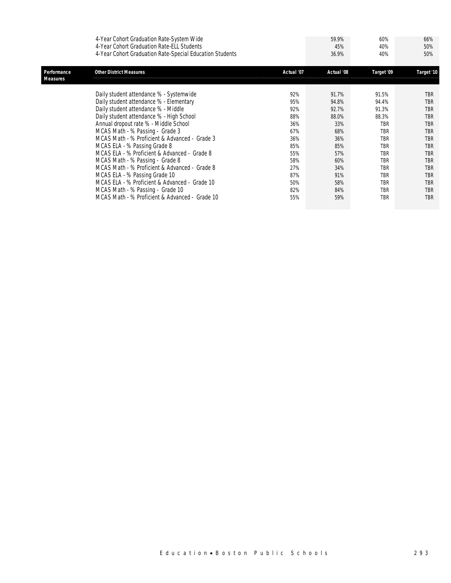| 4-Year Cohort Graduation Rate-System Wide                | 59.9% | 60% | 66% |
|----------------------------------------------------------|-------|-----|-----|
| 4-Year Cohort Graduation Rate-ELL Students               | 45%   | 40% | 50% |
| 4-Year Cohort Graduation Rate-Special Education Students | 36.9% | 40% | 50% |

| Performance<br>Measures | <b>Other District Measures</b>                 | Actual '07 | Actual '08 | Target '09 | Target '10 |
|-------------------------|------------------------------------------------|------------|------------|------------|------------|
|                         |                                                |            |            |            |            |
|                         | Daily student attendance % - Systemwide        | 92%        | 91.7%      | 91.5%      | <b>TBR</b> |
|                         | Daily student attendance % - Elementary        | 95%        | 94.8%      | 94.4%      | <b>TBR</b> |
|                         | Daily student attendance % - Middle            | 92%        | 92.7%      | 91.3%      | <b>TBR</b> |
|                         | Daily student attendance % - High School       | 88%        | 88.0%      | 88.3%      | TBR        |
|                         | Annual dropout rate % - Middle School          | 36%        | 33%        | <b>TBR</b> | TBR        |
|                         | MCAS Math - % Passing - Grade 3                | 67%        | 68%        | <b>TBR</b> | <b>TBR</b> |
|                         | MCAS Math - % Proficient & Advanced - Grade 3  | 36%        | 36%        | <b>TBR</b> | TBR        |
|                         | MCAS ELA - % Passing Grade 8                   | 85%        | 85%        | <b>TBR</b> | <b>TBR</b> |
|                         | MCAS ELA - % Proficient & Advanced - Grade 8   | 55%        | 57%        | <b>TBR</b> | TBR        |
|                         | MCAS Math - % Passing - Grade 8                | 58%        | 60%        | <b>TBR</b> | TBR        |
|                         | MCAS Math - % Proficient & Advanced - Grade 8  | 27%        | 34%        | <b>TBR</b> | <b>TBR</b> |
|                         | MCAS ELA - % Passing Grade 10                  | 87%        | 91%        | <b>TBR</b> | <b>TBR</b> |
|                         | MCAS ELA - % Proficient & Advanced - Grade 10  | 50%        | 58%        | <b>TBR</b> | TBR        |
|                         | MCAS Math - % Passing - Grade 10               | 82%        | 84%        | <b>TBR</b> | <b>TBR</b> |
|                         | MCAS Math - % Proficient & Advanced - Grade 10 | 55%        | 59%        | <b>TBR</b> | <b>TBR</b> |
|                         |                                                |            |            |            |            |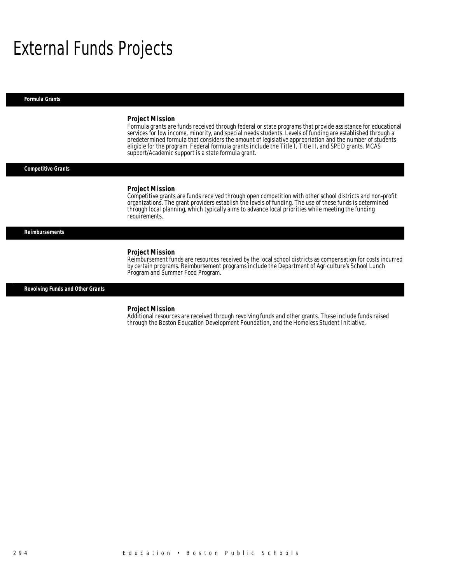# External Funds Projects

*Formula Grants* 

#### *Project Mission*

Formula grants are funds received through federal or state programs that provide assistance for educational services for low income, minority, and special needs students. Levels of funding are established through a predetermined formula that considers the amount of legislative appropriation and the number of students eligible for the program. Federal formula grants include the Title I, Title II, and SPED grants. MCAS support/Academic support is a state formula grant.

#### *Competitive Grants*

#### *Project Mission*

Competitive grants are funds received through open competition with other school districts and non-profit organizations. The grant providers establish the levels of funding. The use of these funds is determined through local planning, which typically aims to advance local priorities while meeting the funding requirements.

#### *Reimbursements*

#### *Project Mission*

Reimbursement funds are resources received by the local school districts as compensation for costs incurred by certain programs. Reimbursement programs include the Department of Agriculture's School Lunch Program and Summer Food Program.

*Revolving Funds and Other Grants* 

#### *Project Mission*

Additional resources are received through revolving funds and other grants. These include funds raised through the Boston Education Development Foundation, and the Homeless Student Initiative.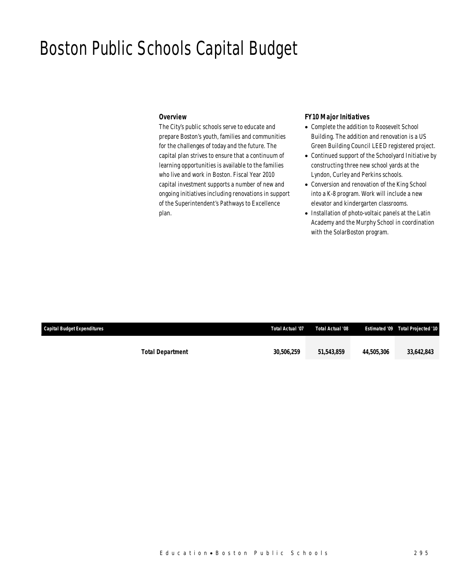# Boston Public Schools Capital Budget

### *Overview*

The City's public schools serve to educate and prepare Boston's youth, families and communities for the challenges of today and the future. The capital plan strives to ensure that a continuum of learning opportunities is available to the families who live and work in Boston. Fiscal Year 2010 capital investment supports a number of new and ongoing initiatives including renovations in support of the Superintendent's Pathways to Excellence plan.

# *FY10 Major Initiatives*

- Complete the addition to Roosevelt School Building. The addition and renovation is a US Green Building Council LEED registered project.
- Continued support of the Schoolyard Initiative by constructing three new school yards at the Lyndon, Curley and Perkins schools.
- Conversion and renovation of the King School into a K-8 program. Work will include a new elevator and kindergarten classrooms.
- Installation of photo-voltaic panels at the Latin Academy and the Murphy School in coordination with the SolarBoston program.

| Capital Budget Expenditures |                         | Total Actual '07 | Total Actual '08 |            | <b>Estimated '09 Total Projected '10</b> |
|-----------------------------|-------------------------|------------------|------------------|------------|------------------------------------------|
|                             | <b>Total Department</b> | 30,506,259       | 51,543,859       | 44.505.306 | 33,642,843                               |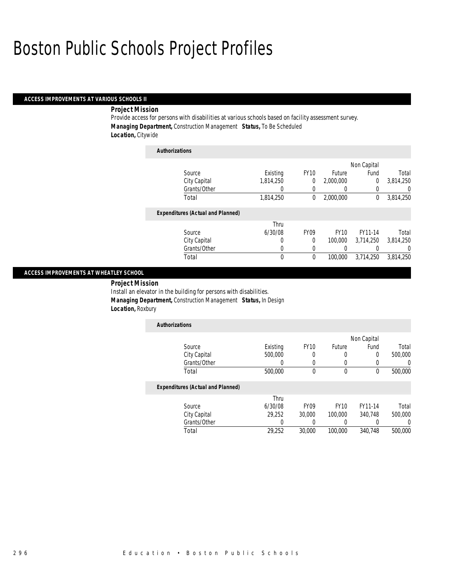### *ACCESS IMPROVEMENTS AT VARIOUS SCHOOLS II*

#### *Project Mission*

Provide access for persons with disabilities at various schools based on facility assessment survey. *Managing Department,* Construction Management *Status,* To Be Scheduled *Location,* Citywide

| <b>Authorizations</b>                    |           |             |             |             |           |
|------------------------------------------|-----------|-------------|-------------|-------------|-----------|
|                                          |           |             |             | Non Capital |           |
| Source                                   | Existing  | <b>FY10</b> | Future      | Fund        | Total     |
| City Capital                             | 1,814,250 | 0           | 2,000,000   | 0           | 3,814,250 |
| Grants/Other                             | 0         | 0           | 0           | 0           | 0         |
| Total                                    | 1,814,250 | 0           | 2,000,000   | 0           | 3,814,250 |
| <b>Expenditures (Actual and Planned)</b> |           |             |             |             |           |
|                                          | Thru      |             |             |             |           |
| Source                                   | 6/30/08   | <b>FY09</b> | <b>FY10</b> | FY11-14     | Total     |
| City Capital                             | 0         | $\Omega$    | 100,000     | 3.714.250   | 3.814.250 |
| Grants/Other                             | 0         | 0           | 0           | 0           | $\left($  |
| Total                                    | 0         | $\theta$    | 100,000     | 3.714.250   | 3,814,250 |

### *ACCESS IMPROVEMENTS AT WHEATLEY SCHOOL*

 *Project Mission* Install an elevator in the building for persons with disabilities. *Managing Department,* Construction Management *Status,* In Design *Location,* Roxbury

| <b>Authorizations</b>                    |          |                  |             |             |         |
|------------------------------------------|----------|------------------|-------------|-------------|---------|
|                                          |          |                  |             | Non Capital |         |
| Source                                   | Existing | <b>FY10</b>      | Future      | Fund        | Total   |
| City Capital                             | 500,000  | 0                | 0           | 0           | 500,000 |
| Grants/Other                             |          | 0                |             |             |         |
| Total                                    | 500,000  | $\Omega$         | $\theta$    | 0           | 500,000 |
| <b>Expenditures (Actual and Planned)</b> |          |                  |             |             |         |
|                                          | Thru     |                  |             |             |         |
| Source                                   | 6/30/08  | FY <sub>09</sub> | <b>FY10</b> | FY11-14     | Total   |
| City Capital                             | 29,252   | 30,000           | 100,000     | 340,748     | 500,000 |
| Grants/Other                             |          |                  |             |             |         |

Total 29,252 30,000 100,000 340,748 500,000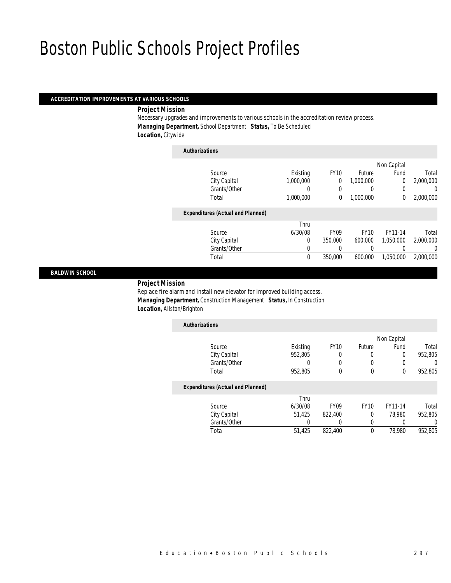#### *ACCREDITATION IMPROVEMENTS AT VARIOUS SCHOOLS*

*Project Mission* 

Necessary upgrades and improvements to various schools in the accreditation review process. *Managing Department,* School Department *Status,* To Be Scheduled *Location,* Citywide

| <b>Authorizations</b>                    |           |              |                  |             |           |
|------------------------------------------|-----------|--------------|------------------|-------------|-----------|
|                                          |           |              |                  | Non Capital |           |
| Source                                   | Existing  | <b>FY10</b>  | Future           | Fund        | Total     |
| City Capital                             | 1.000.000 | 0            | 1,000,000        | 0           | 2,000,000 |
| Grants/Other                             | 0         | 0            | $\left( \right)$ | 0           | O         |
| Total                                    | 1,000,000 | $\mathbf{0}$ | 1,000,000        | $\mathbf 0$ | 2,000,000 |
| <b>Expenditures (Actual and Planned)</b> |           |              |                  |             |           |
|                                          | Thru      |              |                  |             |           |
| Source                                   | 6/30/08   | <b>FY09</b>  | <b>FY10</b>      | FY11-14     | Total     |
| City Capital                             | $\Omega$  | 350,000      | 600.000          | 1.050.000   | 2.000.000 |
| Grants/Other                             | 0         | 0            | 0                | 0           |           |
| Total                                    | 0         | 350,000      | 600.000          | 1,050,000   | 2,000,000 |

#### *BALDWIN SCHOOL*

#### *Project Mission*

Replace fire alarm and install new elevator for improved building access. *Managing Department,* Construction Management *Status,* In Construction *Location,* Allston/Brighton

| <b>Authorizations</b>                    |          |             |                  |             |         |
|------------------------------------------|----------|-------------|------------------|-------------|---------|
|                                          |          |             |                  | Non Capital |         |
| Source                                   | Existing | <b>FY10</b> | Future           | Fund        | Total   |
| City Capital                             | 952,805  | 0           | $\left( \right)$ | 0           | 952,805 |
| Grants/Other                             |          |             |                  |             |         |
| Total                                    | 952,805  | 0           | $\theta$         |             | 952,805 |
| <b>Expenditures (Actual and Planned)</b> |          |             |                  |             |         |
|                                          | Thru     |             |                  |             |         |
| Source                                   | 6/30/08  | <b>FY09</b> | <b>FY10</b>      | FY11-14     | Total   |
| City Capital                             | 51,425   | 822,400     | $\Omega$         | 78.980      | 952.805 |
| Grants/Other                             |          |             |                  |             |         |

Total 51,425 822,400 0 78,980 952,805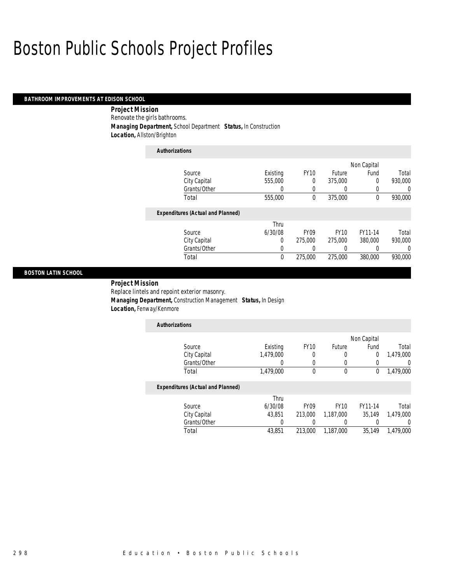### *BATHROOM IMPROVEMENTS AT EDISON SCHOOL*

 *Project Mission* Renovate the girls bathrooms. *Managing Department,* School Department *Status,* In Construction *Location,* Allston/Brighton

| <b>Authorizations</b>                    |          |                  |             |                |         |
|------------------------------------------|----------|------------------|-------------|----------------|---------|
|                                          |          |                  |             | Non Capital    |         |
| Source                                   | Existing | <b>FY10</b>      | Future      | Fund           | Total   |
| City Capital                             | 555,000  | 0                | 375,000     | $\overline{0}$ | 930,000 |
| Grants/Other                             | 0        | 0                | 0           | 0              | 0       |
| Total                                    | 555,000  | 0                | 375,000     | 0              | 930,000 |
| <b>Expenditures (Actual and Planned)</b> |          |                  |             |                |         |
|                                          | Thru     |                  |             |                |         |
| Source                                   | 6/30/08  | FY <sub>09</sub> | <b>FY10</b> | FY11-14        | Total   |
| City Capital                             | 0        | 275,000          | 275,000     | 380,000        | 930,000 |
| Grants/Other                             | 0        | 0                | 0           | 0              | 0       |
| Total                                    | $\theta$ | 275,000          | 275,000     | 380,000        | 930.000 |

#### *BOSTON LATIN SCHOOL*

### *Project Mission*

Replace lintels and repoint exterior masonry.

 *Managing Department,* Construction Management *Status,* In Design *Location,* Fenway/Kenmore

| <b>Authorizations</b> |           |             |        |             |           |
|-----------------------|-----------|-------------|--------|-------------|-----------|
|                       |           |             |        | Non Capital |           |
| Source                | Existing  | <b>FY10</b> | Future | Fund        | Total     |
| City Capital          | 1,479,000 |             |        | 0           | 1,479,000 |
| Grants/Other          |           |             |        |             |           |
| Total                 | 1,479,000 |             |        |             | 1,479,000 |

# *Expenditures (Actual and Planned)*

|              | Thru    |                      |                        |           |
|--------------|---------|----------------------|------------------------|-----------|
| Source       | 6/30/08 | FY <sub>09</sub>     | <b>FY10</b><br>FY11-14 | Total     |
| City Capital | 43.851  | 213,000<br>1.187.000 | 35.149                 | 1,479,000 |
| Grants/Other |         |                      |                        |           |
| Total        | 43.851  | 213,000<br>1.187.000 | 35.149                 | 1.479.000 |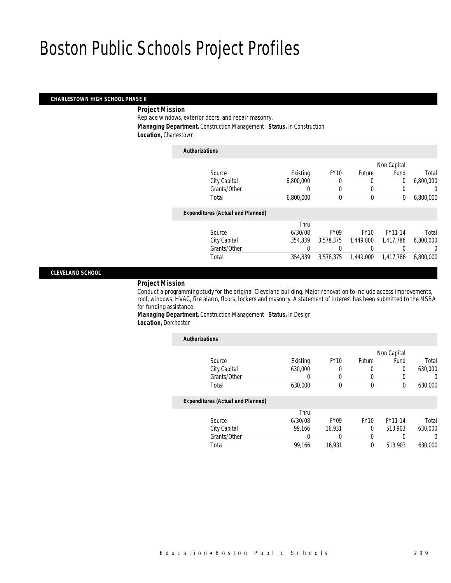# *CHARLESTOWN HIGH SCHOOL PHASE II*

# *Project Mission*

Replace windows, exterior doors, and repair masonry. *Managing Department,* Construction Management *Status,* In Construction

*Location,* Charlestown

| <b>Authorizations</b>                    |           |             |             |             |           |
|------------------------------------------|-----------|-------------|-------------|-------------|-----------|
|                                          |           |             |             | Non Capital |           |
| Source                                   | Existing  | <b>FY10</b> | Future      | Fund        | Total     |
| City Capital                             | 6,800,000 | 0           | $\left($    | 0           | 6,800,000 |
| Grants/Other                             |           | $\Omega$    | $\left($    |             | 0         |
| Total                                    | 6,800,000 | $\theta$    | $\mathbf 0$ | 0           | 6,800,000 |
| <b>Expenditures (Actual and Planned)</b> |           |             |             |             |           |
|                                          | Thru      |             |             |             |           |
| Source                                   | 6/30/08   | <b>FY09</b> | <b>FY10</b> | FY11-14     | Total     |
| City Capital                             | 354,839   | 3.578.375   | 1,449,000   | 1,417,786   | 6,800,000 |
| Grants/Other                             | 0         | 0           | 0           |             | 0         |
| Total                                    | 354.839   | 3.578.375   | 1.449.000   | 1.417.786   | 6,800,000 |

#### *CLEVELAND SCHOOL*

# *Project Mission*

Conduct a programming study for the original Cleveland building. Major renovation to include access improvements, roof, windows, HVAC, fire alarm, floors, lockers and masonry. A statement of interest has been submitted to the MSBA for funding assistance.

*Managing Department,* Construction Management *Status,* In Design

*Location,* Dorchester

| <b>Authorizations</b>                    |          |             |              |             |         |
|------------------------------------------|----------|-------------|--------------|-------------|---------|
|                                          |          |             |              | Non Capital |         |
| Source                                   | Existing | <b>FY10</b> | Future       | Fund        | Total   |
| City Capital                             | 630,000  | 0           | 0            | 0           | 630,000 |
| Grants/Other                             | 0        | $\left($    | 0            | 0           | 0       |
| Total                                    | 630,000  | $\Omega$    | $\mathbf{0}$ | 0           | 630,000 |
| <b>Expenditures (Actual and Planned)</b> |          |             |              |             |         |
|                                          | Thru     |             |              |             |         |
| Source                                   | 6/30/08  | <b>FY09</b> | <b>FY10</b>  | FY11-14     | Total   |
| City Capital                             | 99.166   | 16.931      | 0            | 513.903     | 630,000 |
| Grants/Other                             | 0        |             | 0            | 0           | 0       |
| Total                                    | 99,166   | 16.931      | 0            | 513,903     | 630,000 |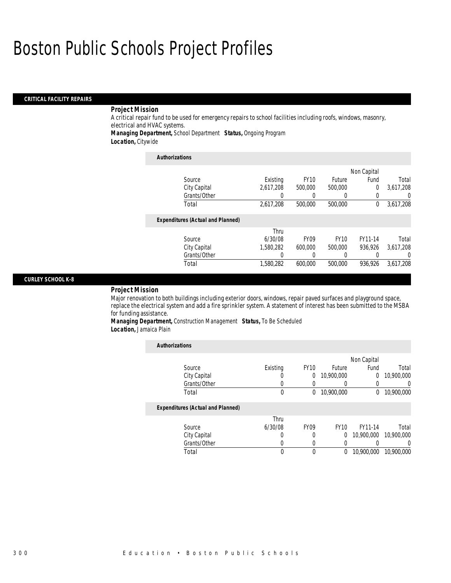### *CRITICAL FACILITY REPAIRS*

# *Project Mission*

A critical repair fund to be used for emergency repairs to school facilities including roofs, windows, masonry, electrical and HVAC systems.

*Managing Department,* School Department *Status,* Ongoing Program

*Location,* Citywide

| <b>Authorizations</b>                    |           |                  |             |             |                |
|------------------------------------------|-----------|------------------|-------------|-------------|----------------|
|                                          |           |                  |             | Non Capital |                |
| Source                                   | Existing  | <b>FY10</b>      | Future      | Fund        | Total          |
| City Capital                             | 2.617.208 | 500,000          | 500,000     | $\theta$    | 3.617.208      |
| Grants/Other                             | 0         | 0                | 0           | 0           | $\overline{0}$ |
| Total                                    | 2,617,208 | 500,000          | 500,000     | $\theta$    | 3,617,208      |
| <b>Expenditures (Actual and Planned)</b> |           |                  |             |             |                |
|                                          | Thru      |                  |             |             |                |
| Source                                   | 6/30/08   | FY <sub>09</sub> | <b>FY10</b> | FY11-14     | Total          |
| City Capital                             | 1.580.282 | 600,000          | 500,000     | 936.926     | 3,617,208      |
| Grants/Other                             | 0         | 0                | 0           |             | $\Omega$       |
| Total                                    | 1.580.282 | 600.000          | 500,000     | 936.926     | 3,617,208      |

#### *CURLEY SCHOOL K-8*

#### *Project Mission*

Major renovation to both buildings including exterior doors, windows, repair paved surfaces and playground space, replace the electrical system and add a fire sprinkler system. A statement of interest has been submitted to the MSBA for funding assistance.

*Managing Department,* Construction Management *Status,* To Be Scheduled *Location,* Jamaica Plain

| <b>Authorizations</b>                    |          |                  |             |             |            |
|------------------------------------------|----------|------------------|-------------|-------------|------------|
|                                          |          |                  |             | Non Capital |            |
| Source                                   | Existing | <b>FY10</b>      | Future      | Fund        | Total      |
| City Capital                             | O        | 0                | 10,900,000  | 0           | 10,900,000 |
| Grants/Other                             | 0        |                  |             |             | 0          |
| Total                                    | 0        | 0                | 10,900,000  | 0           | 10,900,000 |
| <b>Expenditures (Actual and Planned)</b> |          |                  |             |             |            |
|                                          | Thru     |                  |             |             |            |
| Source                                   | 6/30/08  | FY <sub>09</sub> | <b>FY10</b> | FY11-14     | Total      |
| City Capital                             | 0        | 0                | 0           | 10,900,000  | 10,900,000 |
| Grants/Other                             | 0        | $\Omega$         | 0           |             | $\left($   |
| Total                                    | 0        | 0                | $^{0}$      | 10,900,000  | 10,900,000 |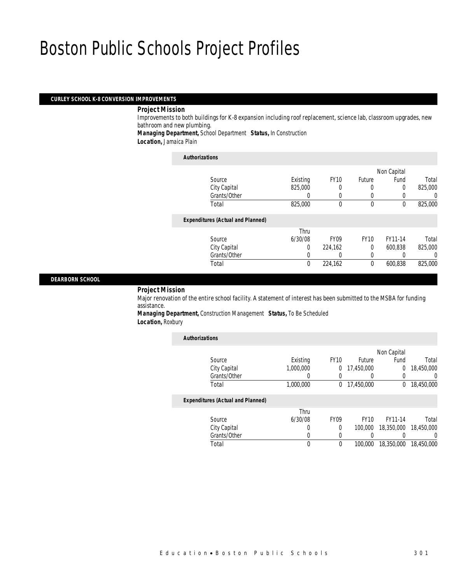#### *CURLEY SCHOOL K-8 CONVERSION IMPROVEMENTS*

*Project Mission* 

Improvements to both buildings for K-8 expansion including roof replacement, science lab, classroom upgrades, new bathroom and new plumbing.

*Managing Department,* School Department *Status,* In Construction

*Location,* Jamaica Plain

#### *Authorizations*

|                                          |          |             |             | Non Capital |         |
|------------------------------------------|----------|-------------|-------------|-------------|---------|
| Source                                   | Existing | <b>FY10</b> | Future      | Fund        | Total   |
| City Capital                             | 825,000  |             | 0           | 0           | 825,000 |
| Grants/Other                             |          |             |             |             | 0       |
| Total                                    | 825,000  | $\theta$    | $\mathbf 0$ | 0           | 825,000 |
| <b>Expenditures (Actual and Planned)</b> |          |             |             |             |         |
|                                          | Thru     |             |             |             |         |
| Source                                   | 6/30/08  | <b>FY09</b> | <b>FY10</b> | FY11-14     | Total   |
| City Capital                             | 0        | 224,162     | 0           | 600.838     | 825,000 |
| Grants/Other                             | 0        | 0           | 0           |             | 0       |
| Total                                    | 0        | 224,162     | $\theta$    | 600,838     | 825,000 |
|                                          |          |             |             |             |         |

# *DEARBORN SCHOOL*

*Project Mission* 

Major renovation of the entire school facility. A statement of interest has been submitted to the MSBA for funding assistance.

*Managing Department,* Construction Management *Status,* To Be Scheduled *Location,* Roxbury

| <b>Authorizations</b>                    |           |                  |             |             |                  |
|------------------------------------------|-----------|------------------|-------------|-------------|------------------|
|                                          |           |                  |             | Non Capital |                  |
| Source                                   | Existing  | <b>FY10</b>      | Future      | Fund        | Total            |
| City Capital                             | 1,000,000 | $\Omega$         | 17,450,000  | 0           | 18,450,000       |
| Grants/Other                             |           | $\Omega$         |             | 0           | $\left( \right)$ |
| Total                                    | 1,000,000 | $\Omega$         | 17,450,000  | $^{0}$      | 18,450,000       |
| <b>Expenditures (Actual and Planned)</b> |           |                  |             |             |                  |
|                                          | Thru      |                  |             |             |                  |
| Source                                   | 6/30/08   | FY <sub>09</sub> | <b>FY10</b> | FY11-14     | Total            |
| City Capital                             | 0         | $\Omega$         | 100,000     | 18,350,000  | 18,450,000       |
| Grants/Other                             | U         | $\left($         |             |             | $\left( \right)$ |
| Total                                    | 0         | $\mathbf 0$      | 100,000     | 18,350,000  | 18,450,000       |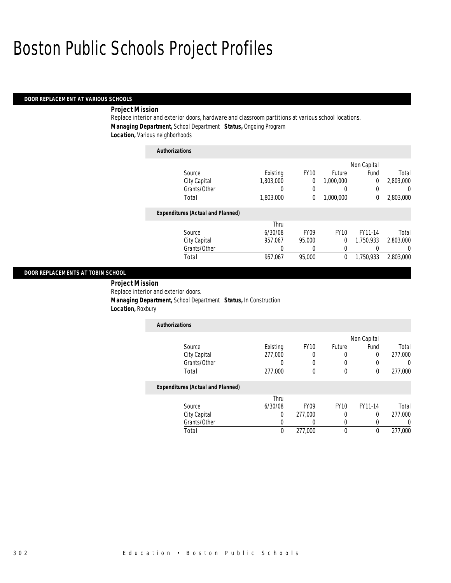# *DOOR REPLACEMENT AT VARIOUS SCHOOLS*

### *Project Mission*

Replace interior and exterior doors, hardware and classroom partitions at various school locations. *Managing Department,* School Department *Status,* Ongoing Program *Location,* Various neighborhoods

| <b>Authorizations</b>                    |           |                  |             |             |           |
|------------------------------------------|-----------|------------------|-------------|-------------|-----------|
|                                          |           |                  |             | Non Capital |           |
| Source                                   | Existing  | <b>FY10</b>      | Future      | Fund        | Total     |
| City Capital                             | 1.803.000 | 0                | 1.000.000   | $\Omega$    | 2.803.000 |
| Grants/Other                             | 0         | 0                | 0           | 0           | 0         |
| Total                                    | 1,803,000 | 0                | 1,000,000   | $\theta$    | 2,803,000 |
| <b>Expenditures (Actual and Planned)</b> |           |                  |             |             |           |
|                                          | Thru      |                  |             |             |           |
| Source                                   | 6/30/08   | FY <sub>09</sub> | <b>FY10</b> | FY11-14     | Total     |
| City Capital                             | 957.067   | 95,000           | 0           | 1.750.933   | 2,803,000 |
| Grants/Other                             | 0         | 0                | 0           |             | 0         |
| Total                                    | 957.067   | 95,000           | $\theta$    | 1.750.933   | 2.803.000 |

#### *DOOR REPLACEMENTS AT TOBIN SCHOOL*

 *Project Mission* Replace interior and exterior doors. *Managing Department,* School Department *Status,* In Construction *Location,* Roxbury

| <b>Authorizations</b>                    |          |             |        |             |         |
|------------------------------------------|----------|-------------|--------|-------------|---------|
|                                          |          |             |        | Non Capital |         |
| Source                                   | Existing | <b>FY10</b> | Future | Fund        | Total   |
| City Capital                             | 277,000  | 0           |        | 0           | 277,000 |
| Grants/Other                             |          |             |        |             |         |
| Total                                    | 277,000  | 0           | 0      | 0           | 277.000 |
| <b>Expenditures (Actual and Planned)</b> |          |             |        |             |         |

|              | Thru    |         |      |         |         |
|--------------|---------|---------|------|---------|---------|
| Source       | 6/30/08 | FY09    | FY10 | FY11-14 | Total   |
| City Capital |         | 277.000 |      |         | 277,000 |
| Grants/Other |         |         |      |         |         |
| Total        |         | 277,000 |      |         | 277,000 |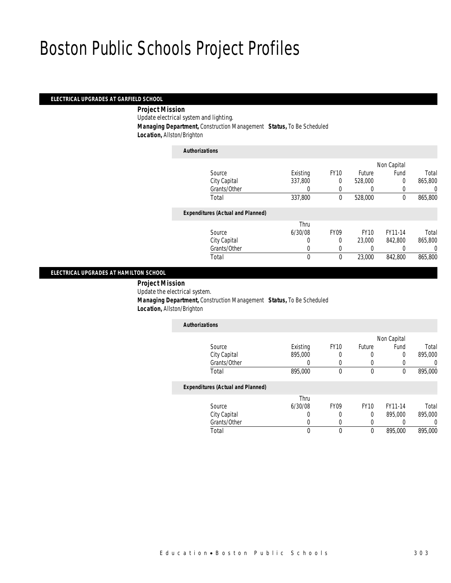# *ELECTRICAL UPGRADES AT GARFIELD SCHOOL*

### *Project Mission*

Update electrical system and lighting.

*Managing Department,* Construction Management *Status,* To Be Scheduled

*Location,* Allston/Brighton

| <b>Authorizations</b>                    |          |                  |             |             |         |
|------------------------------------------|----------|------------------|-------------|-------------|---------|
|                                          |          |                  |             | Non Capital |         |
| Source                                   | Existing | <b>FY10</b>      | Future      | Fund        | Total   |
| City Capital                             | 337,800  | $\theta$         | 528,000     | $\Omega$    | 865,800 |
| Grants/Other                             | 0        | $\Omega$         |             |             | 0       |
| Total                                    | 337,800  | 0                | 528,000     | 0           | 865,800 |
| <b>Expenditures (Actual and Planned)</b> |          |                  |             |             |         |
|                                          | Thru     |                  |             |             |         |
| Source                                   | 6/30/08  | FY <sub>09</sub> | <b>FY10</b> | FY11-14     | Total   |
| City Capital                             | 0        | 0                | 23,000      | 842.800     | 865,800 |
| Grants/Other                             | 0        | $\Omega$         | 0           |             | 0       |
| Total                                    | 0        | 0                | 23,000      | 842.800     | 865,800 |
|                                          |          |                  |             |             |         |

### *ELECTRICAL UPGRADES AT HAMILTON SCHOOL*

*Project Mission* 

Update the electrical system.

 *Managing Department,* Construction Management *Status,* To Be Scheduled *Location,* Allston/Brighton

|  | L <i>ucation,</i> Aliston/Dhyntol |  |  |  |
|--|-----------------------------------|--|--|--|
|  |                                   |  |  |  |

| <b>Authorizations</b>                    |          |             |        |             |         |
|------------------------------------------|----------|-------------|--------|-------------|---------|
|                                          |          |             |        | Non Capital |         |
| Source                                   | Existing | <b>FY10</b> | Future | Fund        | Total   |
| City Capital                             | 895,000  | 0           | O      | 0           | 895,000 |
| Grants/Other                             |          |             |        |             |         |
| Total                                    | 895,000  | 0           | 0      | 0           | 895,000 |
| <b>Expenditures (Actual and Planned)</b> |          |             |        |             |         |

| Thru    |             |             |         |         |
|---------|-------------|-------------|---------|---------|
| 6/30/08 | <b>FY09</b> | <b>FY10</b> | FY11-14 | Total   |
|         |             |             | 895,000 | 895,000 |
|         |             |             |         |         |
|         |             |             | 895,000 | 895,000 |
|         |             |             |         |         |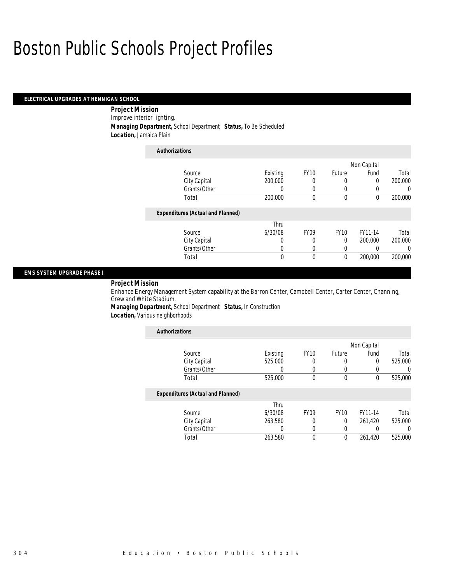# *ELECTRICAL UPGRADES AT HENNIGAN SCHOOL*

 *Project Mission* Improve interior lighting. *Managing Department,* School Department *Status,* To Be Scheduled *Location,* Jamaica Plain

| <b>Authorizations</b>                    |                  |             |               |             |                  |
|------------------------------------------|------------------|-------------|---------------|-------------|------------------|
|                                          |                  |             |               | Non Capital |                  |
| Source                                   | Existing         | <b>FY10</b> | <b>Future</b> | Fund        | Total            |
| City Capital                             | 200,000          | 0           | 0             | 0           | 200,000          |
| Grants/Other                             | $\left( \right)$ |             | 0             |             | $\left( \right)$ |
| Total                                    | 200,000          | 0           | 0             | 0           | 200,000          |
| <b>Expenditures (Actual and Planned)</b> |                  |             |               |             |                  |
|                                          | Thru             |             |               |             |                  |
| Source                                   | 6/30/08          | <b>FY09</b> | <b>FY10</b>   | FY11-14     | Total            |
| City Capital                             | 0                | 0           | 0             | 200,000     | 200,000          |
| Grants/Other                             | 0                | 0           | 0             |             | $\left($         |
| Total                                    | 0                | 0           | $\mathbf 0$   | 200,000     | 200,000          |

#### *EMS SYSTEM UPGRADE PHASE I*

### *Project Mission*

Enhance Energy Management System capability at the Barron Center, Campbell Center, Carter Center, Channing, Grew and White Stadium.

*Managing Department,* School Department *Status,* In Construction *Location,* Various neighborhoods

| <b>Authorizations</b>                    |          |             |             |             |         |
|------------------------------------------|----------|-------------|-------------|-------------|---------|
|                                          |          |             |             | Non Capital |         |
| Source                                   | Existing | <b>FY10</b> | Future      | Fund        | Total   |
| City Capital                             | 525,000  | 0           | 0           | $\Omega$    | 525,000 |
| Grants/Other                             |          |             |             | 0           |         |
| Total                                    | 525,000  | $\Omega$    | 0           | 0           | 525,000 |
| <b>Expenditures (Actual and Planned)</b> |          |             |             |             |         |
|                                          | Thru     |             |             |             |         |
| Source                                   | 6/30/08  | <b>FY09</b> | <b>FY10</b> | FY11-14     | Total   |
| City Capital                             | 263,580  |             | 0           | 261.420     | 525,000 |
| Grants/Other                             |          | 0           | 0           | 0           |         |
| Total                                    | 263.580  | $\Omega$    | 0           | 261.420     | 525,000 |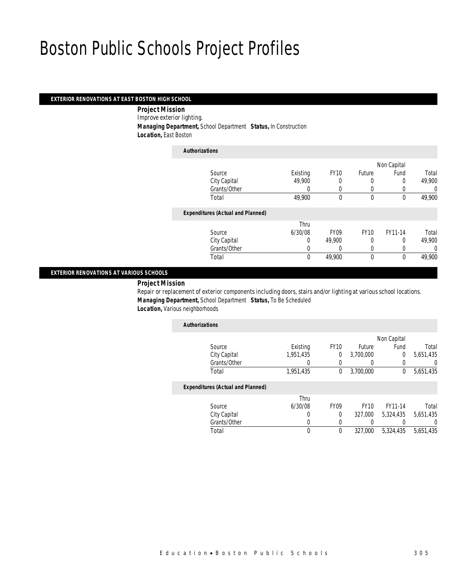### *EXTERIOR RENOVATIONS AT EAST BOSTON HIGH SCHOOL*

 *Project Mission* Improve exterior lighting. *Managing Department,* School Department *Status,* In Construction *Location,* East Boston

# *Authorizations* Source **Existing** FY10 Future Non Capital Fund Total City Capital 49,900 0 0 0 49,900 Grants/Other 0 0 0 0 0 0 Total 49,900 0 0 0 49,900*Expenditures (Actual and Planned)* Source Thru 6/30/08 FY09 FY10 FY11-14 Total City Capital 0 49,900 0 0 49,900 Grants/Other 0 0 0 0 0 0 Total 0 49,900 0 0 49,900

### *EXTERIOR RENOVATIONS AT VARIOUS SCHOOLS*

*Project Mission* 

Repair or replacement of exterior components including doors, stairs and/or lighting at various school locations. *Managing Department,* School Department *Status,* To Be Scheduled *Location*, Various neighborhoods

| <b>Authorizations</b>                    |           |             |           |             |           |
|------------------------------------------|-----------|-------------|-----------|-------------|-----------|
|                                          |           |             |           | Non Capital |           |
| Source                                   | Existing  | <b>FY10</b> | Future    | Fund        | Total     |
| City Capital                             | 1,951,435 | 0           | 3,700,000 |             | 5,651,435 |
| Grants/Other                             |           |             |           |             |           |
| Total                                    | 1,951,435 | 0           | 3,700,000 |             | 5,651,435 |
| <b>Expenditures (Actual and Planned)</b> |           |             |           |             |           |

|              | Thru    |                  |             |           |           |
|--------------|---------|------------------|-------------|-----------|-----------|
| Source       | 6/30/08 | FY <sub>09</sub> | <b>FY10</b> | FY11-14   | Total     |
| City Capital |         |                  | 327,000     | 5.324.435 | 5,651,435 |
| Grants/Other |         |                  |             |           |           |
| Total        |         |                  | 327,000     | 5.324.435 | 5,651,435 |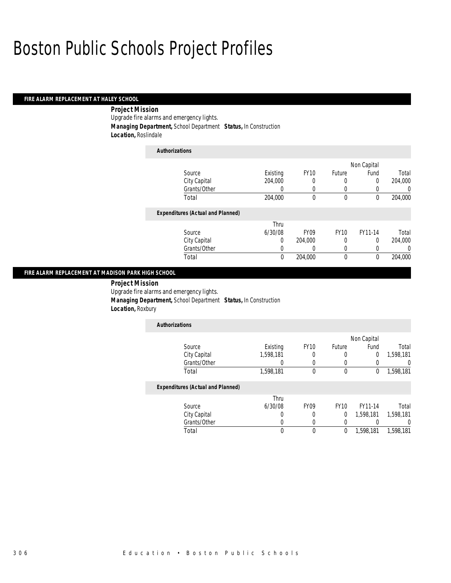# *FIRE ALARM REPLACEMENT AT HALEY SCHOOL*

# *Project Mission*

Upgrade fire alarms and emergency lights.

*Managing Department,* School Department *Status,* In Construction

*Location,* Roslindale

| <b>Authorizations</b>                    |          |                  |              |             |         |
|------------------------------------------|----------|------------------|--------------|-------------|---------|
|                                          |          |                  |              | Non Capital |         |
| Source                                   | Existing | <b>FY10</b>      | Future       | Fund        | Total   |
| City Capital                             | 204.000  | 0                | 0            | 0           | 204.000 |
| Grants/Other                             | 0        | 0                | 0            | 0           | 0       |
| Total                                    | 204,000  | 0                | $\mathbf{0}$ | 0           | 204,000 |
| <b>Expenditures (Actual and Planned)</b> |          |                  |              |             |         |
|                                          | Thru     |                  |              |             |         |
| Source                                   | 6/30/08  | FY <sub>09</sub> | <b>FY10</b>  | FY11-14     | Total   |
| City Capital                             | 0        | 204.000          | 0            | 0           | 204.000 |
| Grants/Other                             | 0        | 0                | 0            |             | 0       |
| Total                                    | 0        | 204,000          | 0            | 0           | 204.000 |

#### *FIRE ALARM REPLACEMENT AT MADISON PARK HIGH SCHOOL*

*Project Mission* 

Upgrade fire alarms and emergency lights.

*Managing Department,* School Department *Status,* In Construction

*Location,* Roxbury

| <b>Authorizations</b> |           |             |        |             |           |
|-----------------------|-----------|-------------|--------|-------------|-----------|
|                       |           |             |        | Non Capital |           |
| Source                | Existing  | <b>FY10</b> | Future | Fund        | Total     |
| City Capital          | 1,598,181 |             |        |             | 1,598,181 |
| Grants/Other          |           |             |        |             |           |
| Total                 | 1,598,181 |             |        |             | 1,598,181 |

# *Expenditures (Actual and Planned)*

|              | Thru    |      |      |           |           |
|--------------|---------|------|------|-----------|-----------|
| Source       | 6/30/08 | FY09 | FY10 | FY11-14   | Total     |
| City Capital |         |      |      | 1,598,181 | 1.598.181 |
| Grants/Other |         |      |      |           |           |
| Total        |         |      |      | 1,598,181 | 1,598,181 |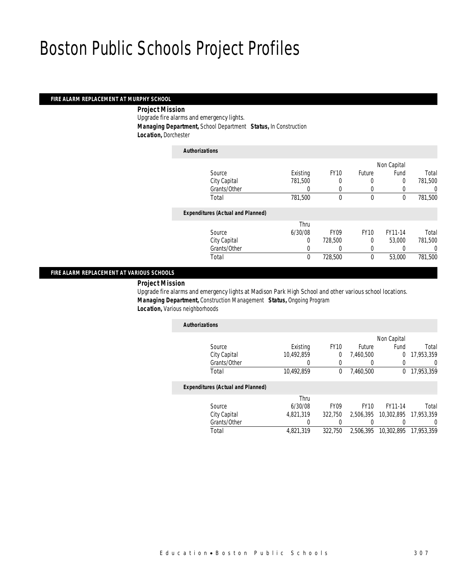# *FIRE ALARM REPLACEMENT AT MURPHY SCHOOL*

#### *Project Mission*

Upgrade fire alarms and emergency lights.

*Managing Department,* School Department *Status,* In Construction

*Location,* Dorchester

### *Authorizations*

|                                          |          |             |             | Non Capital |         |
|------------------------------------------|----------|-------------|-------------|-------------|---------|
| Source                                   | Existing | <b>FY10</b> | Future      | Fund        | Total   |
| City Capital                             | 781,500  |             |             | 0           | 781,500 |
| Grants/Other                             | 0        | $\Omega$    |             |             | 0       |
| Total                                    | 781,500  | 0           | $\mathbf 0$ | 0           | 781,500 |
| <b>Expenditures (Actual and Planned)</b> |          |             |             |             |         |
|                                          | Thru     |             |             |             |         |
| Source                                   | 6/30/08  | <b>FY09</b> | <b>FY10</b> | FY11-14     | Total   |
| City Capital                             | 0        | 728,500     | 0           | 53,000      | 781,500 |
| Grants/Other                             |          |             |             |             | 0       |
| Total                                    | 0        | 728,500     | 0           | 53,000      | 781,500 |
|                                          |          |             |             |             |         |

### *FIRE ALARM REPLACEMENT AT VARIOUS SCHOOLS*

*Project Mission* 

Upgrade fire alarms and emergency lights at Madison Park High School and other various school locations. *Managing Department,* Construction Management *Status,* Ongoing Program **Location, Various neighborhoods** 

| <b>Authorizations</b>                    |            |             |               |             |            |
|------------------------------------------|------------|-------------|---------------|-------------|------------|
|                                          |            |             |               | Non Capital |            |
| Source                                   | Existing   | <b>FY10</b> | <b>Future</b> | Fund        | Total      |
| City Capital                             | 10,492,859 |             | 7,460,500     | 0           | 17,953,359 |
| Grants/Other                             |            |             |               |             |            |
| Total                                    | 10,492,859 |             | 7,460,500     | 0           | 17,953,359 |
| <b>Expenditures (Actual and Planned)</b> |            |             |               |             |            |
|                                          | Thru       |             |               |             |            |

|              | Thru      |         |             |                                 |       |
|--------------|-----------|---------|-------------|---------------------------------|-------|
| Source       | 6/30/08   | FY09    | <b>FY10</b> | FY11-14                         | Total |
| City Capital | 4.821.319 | 322.750 |             | 2,506,395 10,302,895 17,953,359 |       |
| Grants/Other |           |         |             |                                 |       |
| Total        | 4.821.319 | 322.750 |             | 2,506,395 10,302,895 17,953,359 |       |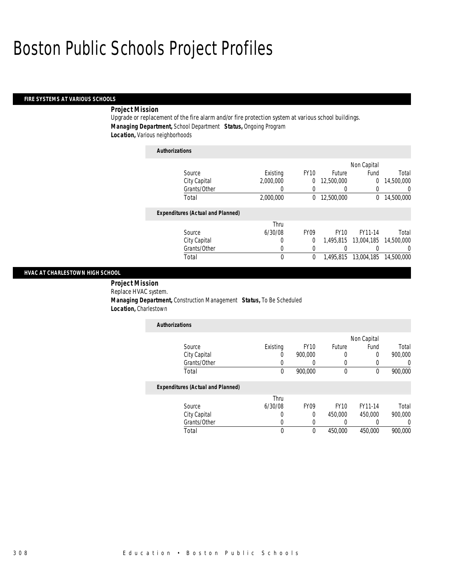#### *FIRE SYSTEMS AT VARIOUS SCHOOLS*

# *Project Mission*

Upgrade or replacement of the fire alarm and/or fire protection system at various school buildings. *Managing Department,* School Department *Status,* Ongoing Program *Location,* Various neighborhoods

| <b>Authorizations</b>                    |             |             |             |             |            |
|------------------------------------------|-------------|-------------|-------------|-------------|------------|
|                                          |             |             |             | Non Capital |            |
| Source                                   | Existing    | <b>FY10</b> | Future      | Fund        | Total      |
| City Capital                             | 2,000,000   | 0           | 12,500,000  | 0           | 14,500,000 |
| Grants/Other                             | 0           | 0           |             | 0           | 0          |
| Total                                    | 2,000,000   | 0           | 12,500,000  | 0           | 14,500,000 |
| <b>Expenditures (Actual and Planned)</b> |             |             |             |             |            |
|                                          | Thru        |             |             |             |            |
| Source                                   | 6/30/08     | <b>FY09</b> | <b>FY10</b> | FY11-14     | Total      |
| City Capital                             | 0           | $\Omega$    | 1.495.815   | 13,004,185  | 14,500,000 |
| Grants/Other                             | 0           | 0           |             |             | 0          |
| Total                                    | $\mathbf 0$ | 0           | 1,495,815   | 13,004,185  | 14,500,000 |

#### *HVAC AT CHARLESTOWN HIGH SCHOOL*

 *Project Mission* Replace HVAC system. *Managing Department,* Construction Management *Status,* To Be Scheduled *Location,* Charlestown

| <b>Authorizations</b> |          |             |        |             |         |
|-----------------------|----------|-------------|--------|-------------|---------|
|                       |          |             |        | Non Capital |         |
| Source                | Existing | <b>FY10</b> | Future | Fund        | Total   |
| City Capital          | U        | 900,000     |        |             | 900,000 |
| Grants/Other          |          |             |        |             |         |
| Total                 | 0        | 900,000     |        |             | 900,000 |
|                       |          |             |        |             |         |

# *Expenditures (Actual and Planned)*

|              | Thru    |                  |         |         |         |
|--------------|---------|------------------|---------|---------|---------|
| Source       | 6/30/08 | FY <sub>09</sub> | FY10    | FY11-14 | Total   |
| City Capital |         |                  | 450,000 | 450,000 | 900,000 |
| Grants/Other |         |                  |         |         |         |
| Total        |         |                  | 450,000 | 450,000 | 900,000 |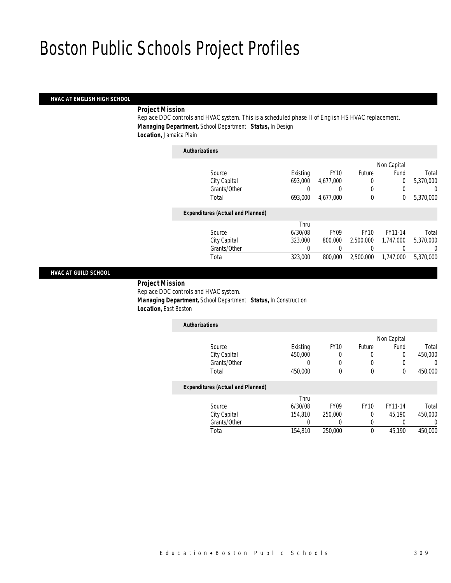#### *HVAC AT ENGLISH HIGH SCHOOL*

# *Project Mission*

Replace DDC controls and HVAC system. This is a scheduled phase II of English HS HVAC replacement. *Managing Department,* School Department *Status,* In Design *Location,* Jamaica Plain

# *Authorizations*

|                                          |          |             |             | Non Capital |           |
|------------------------------------------|----------|-------------|-------------|-------------|-----------|
| Source                                   | Existing | <b>FY10</b> | Future      | Fund        | Total     |
| City Capital                             | 693,000  | 4,677,000   |             | $\Omega$    | 5,370,000 |
| Grants/Other                             | 0        |             | 0           | 0           | 0         |
| Total                                    | 693,000  | 4.677.000   | $\mathbf 0$ | 0           | 5,370,000 |
| <b>Expenditures (Actual and Planned)</b> |          |             |             |             |           |
|                                          | Thru     |             |             |             |           |
| Source                                   | 6/30/08  | <b>FY09</b> | <b>FY10</b> | FY11-14     | Total     |
| City Capital                             | 323,000  | 800,000     | 2,500,000   | 1,747,000   | 5,370,000 |
| Grants/Other                             | 0        |             |             |             | 0         |
| Total                                    | 323,000  | 800,000     | 2,500,000   | 1,747,000   | 5,370,000 |
|                                          |          |             |             |             |           |

#### *HVAC AT GUILD SCHOOL*

 *Project Mission* Replace DDC controls and HVAC system. *Managing Department,* School Department *Status,* In Construction *Location,* East Boston

| <b>Authorizations</b>                    |          |             |                  |              |                |
|------------------------------------------|----------|-------------|------------------|--------------|----------------|
|                                          |          |             |                  | Non Capital  |                |
| Source                                   | Existing | <b>FY10</b> | <b>Future</b>    | Fund         | Total          |
| City Capital                             | 450,000  | $\Omega$    | 0                | 0            | 450,000        |
| Grants/Other                             | 0        | 0           | $\left( \right)$ |              | $\Omega$       |
| Total                                    | 450,000  | 0           | 0                | $\Omega$     | 450,000        |
| <b>Expenditures (Actual and Planned)</b> |          |             |                  |              |                |
|                                          | Thru     |             |                  |              |                |
| Source                                   | 6/30/08  | <b>FY09</b> | <b>FY10</b>      | FY11-14      | Total          |
| City Canital                             | 154910   | 250.000     | $\cap$           | <b>15100</b> | <b>AEO OOO</b> |

| City Capital | 154,810 | 250,000 | 45.190 | 450,000 |
|--------------|---------|---------|--------|---------|
| Grants/Other |         |         |        |         |
| Total        | 154,810 | 250,000 | 45.190 | 450,000 |
|              |         |         |        |         |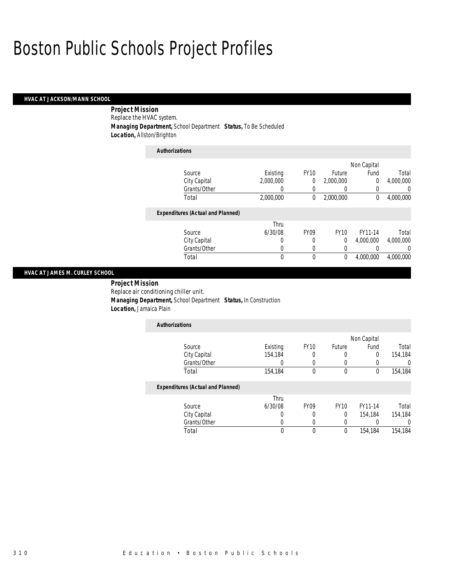#### *HVAC AT JACKSON/MANN SCHOOL*

 *Project Mission* Replace the HVAC system. *Managing Department,* School Department *Status,* To Be Scheduled *Location,* Allston/Brighton

*Authorizations*

| Authorizations                           |           |                  |             |                |           |
|------------------------------------------|-----------|------------------|-------------|----------------|-----------|
|                                          |           |                  |             | Non Capital    |           |
| Source                                   | Existing  | <b>FY10</b>      | Future      | Fund           | Total     |
| City Capital                             | 2.000.000 | 0                | 2,000,000   | $\overline{0}$ | 4,000,000 |
| Grants/Other                             | 0         | 0                | 0           | 0              | 0         |
| Total                                    | 2,000,000 | 0                | 2,000,000   | 0              | 4,000,000 |
| <b>Expenditures (Actual and Planned)</b> |           |                  |             |                |           |
|                                          | Thru      |                  |             |                |           |
| Source                                   | 6/30/08   | FY <sub>09</sub> | <b>FY10</b> | FY11-14        | Total     |
| City Capital                             | 0         | 0                | 0           | 4.000.000      | 4,000,000 |
| Grants/Other                             | 0         | 0                | 0           |                | $\left($  |
| Total                                    | 0         | 0                | 0           | 4.000.000      | 4.000.000 |

### *HVAC AT JAMES M. CURLEY SCHOOL*

 *Project Mission* Replace air conditioning chiller unit. *Managing Department,* School Department *Status,* In Construction *Location,* Jamaica Plain

| <b>Authorizations</b>                    |          |                  |             |             |         |
|------------------------------------------|----------|------------------|-------------|-------------|---------|
|                                          |          |                  |             | Non Capital |         |
| Source                                   | Existing | <b>FY10</b>      | Future      | Fund        | Total   |
| City Capital                             | 154,184  | 0                | 0           | 0           | 154,184 |
| Grants/Other                             |          | 0                |             | 0           |         |
| Total                                    | 154,184  | 0                | 0           | 0           | 154,184 |
| <b>Expenditures (Actual and Planned)</b> |          |                  |             |             |         |
|                                          | Thru     |                  |             |             |         |
| Source                                   | 6/30/08  | FY <sub>09</sub> | <b>FY10</b> | FY11-14     | Total   |
| City Capital                             |          |                  | 0           | 154,184     | 154,184 |

Grants/Other 0 0 0 0 0 0 0<br>Total 0 0 0 154,184 154,184

Total 0 0 0 154,184 154,184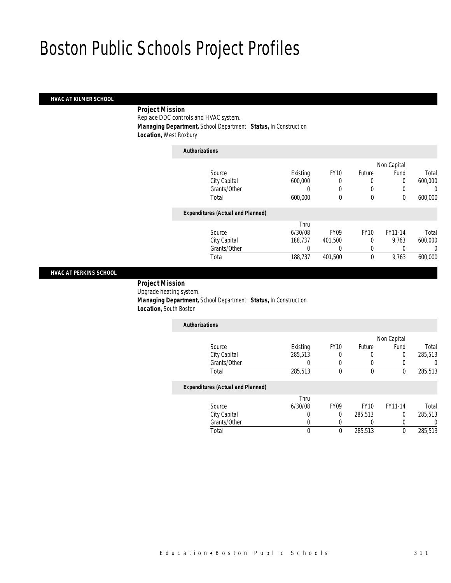# *HVAC AT KILMER SCHOOL*

# *Project Mission*

Replace DDC controls and HVAC system.

*Managing Department,* School Department *Status,* In Construction

*Location,* West Roxbury

# *Authorizations*

|                                          |          |                  |             | Non Capital |         |
|------------------------------------------|----------|------------------|-------------|-------------|---------|
| Source                                   | Existing | <b>FY10</b>      | Future      | Fund        | Total   |
| City Capital                             | 600,000  | 0                | 0           | 0           | 600,000 |
| Grants/Other                             |          | 0                |             |             | 0       |
| Total                                    | 600,000  | $\theta$         | $\mathbf 0$ | 0           | 600,000 |
| <b>Expenditures (Actual and Planned)</b> |          |                  |             |             |         |
|                                          | Thru     |                  |             |             |         |
| Source                                   | 6/30/08  | FY <sub>09</sub> | <b>FY10</b> | FY11-14     | Total   |
| City Capital                             | 188.737  | 401.500          | 0           | 9.763       | 600,000 |
| Grants/Other                             | 0        |                  | 0           |             | 0       |
| Total                                    | 188,737  | 401,500          | 0           | 9,763       | 600,000 |
|                                          |          |                  |             |             |         |

#### *HVAC AT PERKINS SCHOOL*

 *Project Mission* Upgrade heating system. *Managing Department,* School Department *Status,* In Construction *Location,* South Boston

| <b>Authorizations</b>                    |          |             |               |             |         |
|------------------------------------------|----------|-------------|---------------|-------------|---------|
|                                          |          |             |               | Non Capital |         |
| Source                                   | Existing | <b>FY10</b> | <b>Future</b> | Fund        | Total   |
| City Capital                             | 285,513  | 0           | O             | 0           | 285,513 |
| Grants/Other                             |          |             |               |             | 0       |
| Total                                    | 285,513  | 0           | 0             | 0           | 285,513 |
| <b>Expenditures (Actual and Planned)</b> |          |             |               |             |         |
|                                          | T1       |             |               |             |         |

|              | Thru    |             |             |         |         |
|--------------|---------|-------------|-------------|---------|---------|
| Source       | 6/30/08 | <b>FY09</b> | <b>FY10</b> | FY11-14 | Total   |
| City Capital |         |             | 285,513     |         | 285,513 |
| Grants/Other |         |             |             |         |         |
| Total        |         |             | 285,513     |         | 285,513 |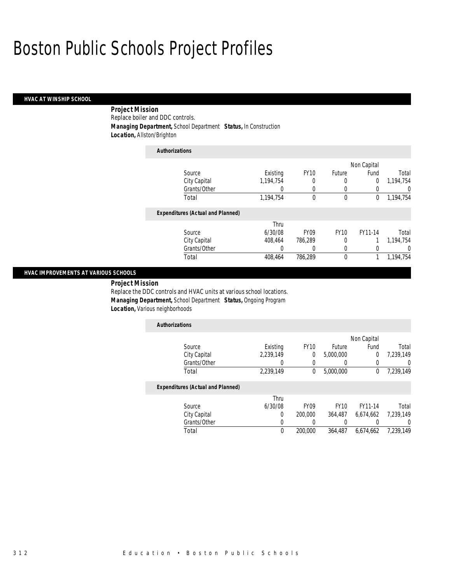#### *HVAC AT WINSHIP SCHOOL*

# *Project Mission* Replace boiler and DDC controls. *Managing Department,* School Department *Status,* In Construction *Location,* Allston/Brighton

| <b>Authorizations</b> |                                          |           |             |             |             |           |
|-----------------------|------------------------------------------|-----------|-------------|-------------|-------------|-----------|
|                       |                                          |           |             |             | Non Capital |           |
|                       | Source                                   | Existing  | <b>FY10</b> | Future      | Fund        | Total     |
|                       | City Capital                             | 1,194,754 |             |             | $\Omega$    | 1.194.754 |
|                       | Grants/Other                             |           |             | 0           |             | 0         |
| Total                 |                                          | 1,194,754 | $\theta$    | $\theta$    | 0           | 1,194,754 |
|                       | <b>Expenditures (Actual and Planned)</b> |           |             |             |             |           |
|                       |                                          | Thru      |             |             |             |           |
|                       | Source                                   | 6/30/08   | <b>FY09</b> | <b>FY10</b> | FY11-14     | Total     |
|                       | City Capital                             | 408.464   | 786.289     | 0           |             | 1.194.754 |
|                       | Grants/Other                             |           |             | 0           |             | $\left($  |
| Total                 |                                          | 408,464   | 786,289     | $\theta$    |             | 1,194,754 |

#### *HVAC IMPROVEMENTS AT VARIOUS SCHOOLS*

*Project Mission* 

Replace the DDC controls and HVAC units at various school locations. *Managing Department,* School Department *Status,* Ongoing Program *Location,* Various neighborhoods

| <b>Authorizations</b> |           |             |           |             |           |
|-----------------------|-----------|-------------|-----------|-------------|-----------|
|                       |           |             |           | Non Capital |           |
| Source                | Existing  | <b>FY10</b> | Future    | Fund        | Total     |
| City Capital          | 2,239,149 |             | 5,000,000 |             | 7,239,149 |
| Grants/Other          |           |             |           |             |           |
| Total                 | 2,239,149 |             | 5,000,000 |             | 7,239,149 |

# *Expenditures (Actual and Planned)*

|              | Thru    |                  |             |           |           |
|--------------|---------|------------------|-------------|-----------|-----------|
| Source       | 6/30/08 | FY <sub>09</sub> | <b>FY10</b> | FY11-14   | Total     |
| City Capital |         | 200.000          | 364,487     | 6.674.662 | 7.239.149 |
| Grants/Other |         |                  |             |           |           |
| Total        |         | 200.000          | 364,487     | 6.674.662 | 7.239.149 |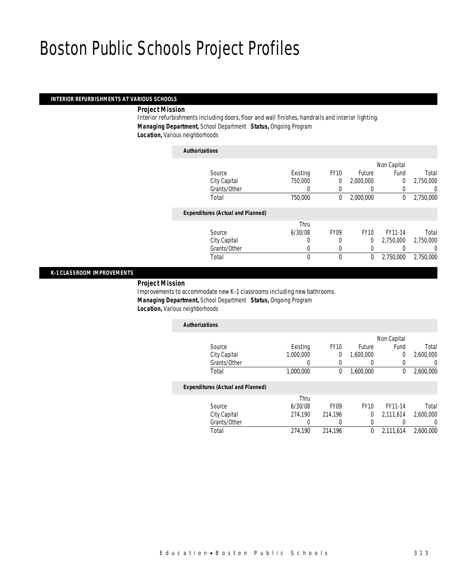### *INTERIOR REFURBISHMENTS AT VARIOUS SCHOOLS*

*Project Mission* 

Interior refurbishments including doors, floor and wall finishes, handrails and interior lighting. *Managing Department,* School Department *Status,* Ongoing Program *Location,* Various neighborhoods

*Authorizations*

|                                          |          |             |             | Non Capital |           |
|------------------------------------------|----------|-------------|-------------|-------------|-----------|
| Source                                   | Existing | <b>FY10</b> | Future      | Fund        | Total     |
| City Capital                             | 750,000  | 0           | 2,000,000   | $\Omega$    | 2,750,000 |
| Grants/Other                             | 0        |             |             |             | 0         |
| Total                                    | 750,000  | 0           | 2,000,000   | 0           | 2,750,000 |
| <b>Expenditures (Actual and Planned)</b> |          |             |             |             |           |
|                                          | Thru     |             |             |             |           |
| Source                                   | 6/30/08  | <b>FY09</b> | <b>FY10</b> | FY11-14     | Total     |
| City Capital                             | 0        | 0           | $\Omega$    | 2.750.000   | 2,750,000 |
| Grants/Other                             | 0        | $\Omega$    | 0           |             | 0         |
| Total                                    | 0        | $\theta$    | 0           | 2,750,000   | 2,750,000 |
|                                          |          |             |             |             |           |

#### *K-1 CLASSROOM IMPROVEMENTS*

*Project Mission* 

Improvements to accommodate new K-1 classrooms including new bathrooms. *Managing Department,* School Department *Status,* Ongoing Program **Location, Various neighborhoods** 

| <b>Authorizations</b>                    |           |             |           |             |           |
|------------------------------------------|-----------|-------------|-----------|-------------|-----------|
|                                          |           |             |           | Non Capital |           |
| Source                                   | Existing  | <b>FY10</b> | Future    | Fund        | Total     |
| City Capital                             | 1,000,000 |             | 1,600,000 |             | 2,600,000 |
| Grants/Other                             |           |             |           |             |           |
| Total                                    | 1,000,000 |             | 1,600,000 |             | 2,600,000 |
| <b>Fxnenditures (Actual and Planned)</b> |           |             |           |             |           |

#### *Expenditures (Actual and Planned)*

|              | Thru    | FY <sub>09</sub> | <b>FY10</b> | FY11-14       |           |
|--------------|---------|------------------|-------------|---------------|-----------|
| Source       | 6/30/08 |                  |             |               | Total     |
| City Capital | 274.190 | 214.196          |             | $0$ 2.111.614 | 2,600,000 |
| Grants/Other |         |                  |             |               |           |
| Total        | 274.190 | 214.196          |             | $0$ 2.111.614 | 2,600,000 |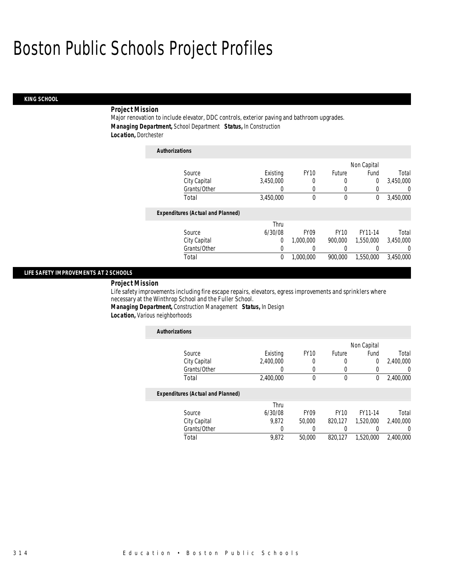# *KING SCHOOL*

# *Project Mission*

Major renovation to include elevator, DDC controls, exterior paving and bathroom upgrades. *Managing Department,* School Department *Status,* In Construction *Location,* Dorchester

| <b>Authorizations</b>                    |           |             |             |             |           |
|------------------------------------------|-----------|-------------|-------------|-------------|-----------|
|                                          |           |             |             | Non Capital |           |
| Source                                   | Existing  | <b>FY10</b> | Future      | Fund        | Total     |
| City Capital                             | 3,450,000 | 0           | 0           | 0           | 3,450,000 |
| Grants/Other                             | 0         | 0           | 0           | 0           | U         |
| Total                                    | 3,450,000 | 0           | 0           | 0           | 3,450,000 |
| <b>Expenditures (Actual and Planned)</b> |           |             |             |             |           |
|                                          | Thru      |             |             |             |           |
| Source                                   | 6/30/08   | <b>FY09</b> | <b>FY10</b> | FY11-14     | Total     |
| City Capital                             | 0         | 1,000,000   | 900.000     | 1.550.000   | 3,450,000 |
| Grants/Other                             | 0         | 0           | 0           |             | 0         |
| Total                                    | 0         | 1,000,000   | 900.000     | 1,550,000   | 3,450,000 |

### *LIFE SAFETY IMPROVEMENTS AT 2 SCHOOLS*

# *Project Mission*

Life safety improvements including fire escape repairs, elevators, egress improvements and sprinklers where necessary at the Winthrop School and the Fuller School.

*Managing Department,* Construction Management *Status,* In Design

*Location,* Various neighborhoods

| <b>Authorizations</b>                    |           |                  |             |             |                  |
|------------------------------------------|-----------|------------------|-------------|-------------|------------------|
|                                          |           |                  |             | Non Capital |                  |
| Source                                   | Existing  | <b>FY10</b>      | Future      | Fund        | Total            |
| City Capital                             | 2.400.000 | 0                | 0           | 0           | 2,400,000        |
| Grants/Other                             | 0         | 0                |             |             | 0                |
| Total                                    | 2,400,000 | $\theta$         | $\theta$    | 0           | 2,400,000        |
| <b>Expenditures (Actual and Planned)</b> |           |                  |             |             |                  |
|                                          | Thru      |                  |             |             |                  |
| Source                                   | 6/30/08   | FY <sub>09</sub> | <b>FY10</b> | FY11-14     | Total            |
| City Capital                             | 9.872     | 50,000           | 820.127     | 1,520,000   | 2,400,000        |
| Grants/Other                             | 0         |                  |             |             | $\left( \right)$ |
| Total                                    | 9,872     | 50,000           | 820.127     | 1,520,000   | 2.400.000        |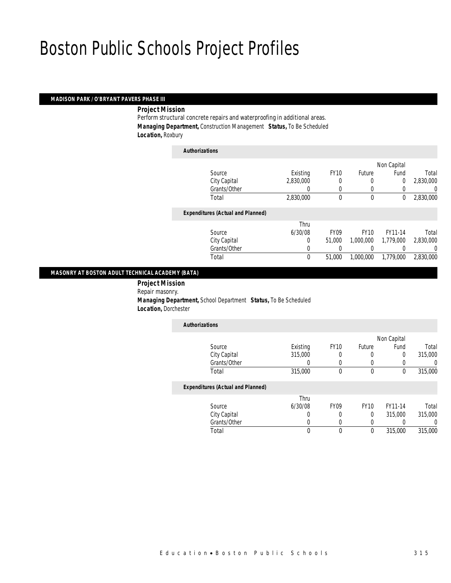#### *MADISON PARK / O'BRYANT PAVERS PHASE III*

*Project Mission* 

Perform structural concrete repairs and waterproofing in additional areas. *Managing Department,* Construction Management *Status,* To Be Scheduled *Location,* Roxbury

| <b>Authorizations</b>                    |             |             |             |                |           |
|------------------------------------------|-------------|-------------|-------------|----------------|-----------|
|                                          |             |             |             | Non Capital    |           |
| Source                                   | Existing    | <b>FY10</b> | Future      | Fund           | Total     |
| City Capital                             | 2,830,000   | 0           | 0           | $\overline{0}$ | 2,830,000 |
| Grants/Other                             |             | $\left($    | 0           |                | 0         |
| Total                                    | 2,830,000   | 0           | $\mathbf 0$ | 0              | 2,830,000 |
| <b>Expenditures (Actual and Planned)</b> |             |             |             |                |           |
|                                          | Thru        |             |             |                |           |
| Source                                   | 6/30/08     | <b>FY09</b> | <b>FY10</b> | FY11-14        | Total     |
| City Capital                             | $\Omega$    | 51.000      | 1.000.000   | 1,779,000      | 2,830,000 |
| Grants/Other                             | 0           |             |             |                | 0         |
| Total                                    | $\mathbf 0$ | 51,000      | 1.000.000   | 1.779.000      | 2.830.000 |
|                                          |             |             |             |                |           |

#### *MASONRY AT BOSTON ADULT TECHNICAL ACADEMY (BATA)*

 *Project Mission* Repair masonry. *Managing Department,* School Department *Status,* To Be Scheduled *Location,* Dorchester

| <b>Authorizations</b> |          |             |        |             |         |
|-----------------------|----------|-------------|--------|-------------|---------|
|                       |          |             |        | Non Capital |         |
| Source                | Existing | <b>FY10</b> | Future | Fund        | Total   |
| City Capital          | 315,000  | 0           |        |             | 315,000 |
| Grants/Other          |          |             |        |             |         |
| Total                 | 315,000  |             |        |             | 315,000 |

### *Expenditures (Actual and Planned)*

|              | Thru    |             |             |         |         |
|--------------|---------|-------------|-------------|---------|---------|
| Source       | 6/30/08 | <b>FY09</b> | <b>FY10</b> | FY11-14 | Total   |
| City Capital |         |             |             | 315,000 | 315,000 |
| Grants/Other |         |             |             |         |         |
| Total        |         |             |             | 315,000 | 315,000 |
|              |         |             |             |         |         |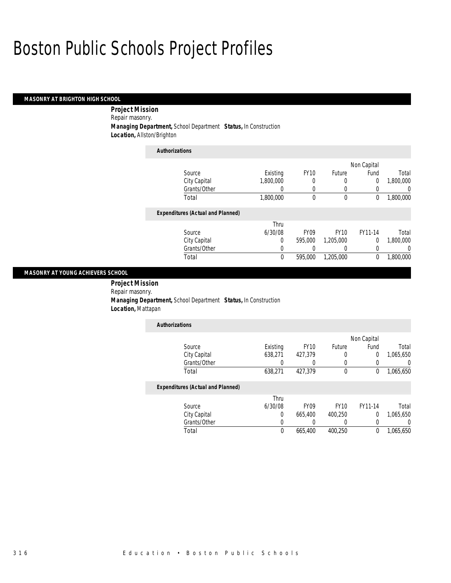#### *MASONRY AT BRIGHTON HIGH SCHOOL*

*Project Mission* 

Repair masonry.

*Managing Department,* School Department *Status,* In Construction

*Authorizations*

*Location,* Allston/Brighton

| Authorizations                           |           |             |             |             |           |
|------------------------------------------|-----------|-------------|-------------|-------------|-----------|
|                                          |           |             |             | Non Capital |           |
| Source                                   | Existing  | <b>FY10</b> | Future      | Fund        | Total     |
| City Capital                             | 1.800.000 | 0           | 0           | 0           | 1,800,000 |
| Grants/Other                             |           | 0           | 0           |             | $\Omega$  |
| Total                                    | 1,800,000 | 0           | 0           | 0           | 1,800,000 |
| <b>Expenditures (Actual and Planned)</b> |           |             |             |             |           |
|                                          | Thru      |             |             |             |           |
| Source                                   | 6/30/08   | <b>FY09</b> | <b>FY10</b> | FY11-14     | Total     |
| City Capital                             | 0         | 595,000     | 1,205,000   | 0           | 1,800,000 |
| Grants/Other                             | 0         |             | 0           |             | 0         |
| Total                                    | 0         | 595,000     | 1.205.000   | 0           | 1.800.000 |

#### *MASONRY AT YOUNG ACHIEVERS SCHOOL*

 *Project Mission* Repair masonry. *Managing Department,* School Department *Status,* In Construction *Location,* Mattapan

| <b>Authorizations</b>                    |          |             |        |             |           |
|------------------------------------------|----------|-------------|--------|-------------|-----------|
|                                          |          |             |        | Non Capital |           |
| Source                                   | Existing | <b>FY10</b> | Future | Fund        | Total     |
| City Capital                             | 638,271  | 427,379     | 0      | 0           | 1,065,650 |
| Grants/Other                             |          |             |        |             |           |
| Total                                    | 638,271  | 427,379     | 0      | 0           | 1,065,650 |
| <b>Expenditures (Actual and Planned)</b> |          |             |        |             |           |
|                                          | Thru     |             |        |             |           |

Grants/Other 0 0 0 0 0 0

Total 0 665,400 400,250 0 1,065,650

|              | Thru    |         |             |         |           |
|--------------|---------|---------|-------------|---------|-----------|
| Source       | 6/30/08 | FY09    | <b>FY10</b> | FY11-14 | Total     |
| City Capital |         | 665,400 | 400.250     |         | 1,065,650 |
| Grants/Other |         |         |             |         |           |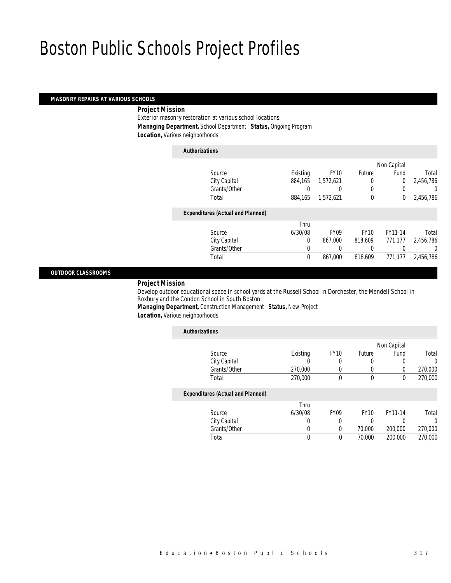### *MASONRY REPAIRS AT VARIOUS SCHOOLS*

# *Project Mission*

Exterior masonry restoration at various school locations. *Managing Department,* School Department *Status,* Ongoing Program *Location,* Various neighborhoods

# *Authorizations*

|                                          |          |                  |             | Non Capital    |           |
|------------------------------------------|----------|------------------|-------------|----------------|-----------|
| Source                                   | Existing | <b>FY10</b>      | Future      | Fund           | Total     |
| City Capital                             | 884,165  | 1,572,621        |             | $\overline{0}$ | 2,456,786 |
| Grants/Other                             | 0        |                  | 0           | 0              | 0         |
| Total                                    | 884,165  | 1,572,621        | $\mathbf 0$ | 0              | 2,456,786 |
| <b>Expenditures (Actual and Planned)</b> |          |                  |             |                |           |
|                                          | Thru     |                  |             |                |           |
| Source                                   | 6/30/08  | FY <sub>09</sub> | <b>FY10</b> | FY11-14        | Total     |
| City Capital                             | 0        | 867.000          | 818,609     | 771.177        | 2,456,786 |
| Grants/Other                             | 0        |                  |             |                | 0         |
| Total                                    | 0        | 867.000          | 818,609     | 771,177        | 2,456,786 |
|                                          |          |                  |             |                |           |

#### *OUTDOOR CLASSROOMS*

# *Project Mission*

Develop outdoor educational space in school yards at the Russell School in Dorchester, the Mendell School in Roxbury and the Condon School in South Boston.

*Managing Department,* Construction Management *Status,* New Project *Location*, Various neighborhoods

| <b>Authorizations</b>                    |          |             |             |             |         |
|------------------------------------------|----------|-------------|-------------|-------------|---------|
|                                          |          |             |             | Non Capital |         |
| Source                                   | Existing | <b>FY10</b> | Future      | Fund        | Total   |
| City Capital                             | O        | 0           | 0           | 0           | 0       |
| Grants/Other                             | 270,000  | 0           | 0           | 0           | 270,000 |
| Total                                    | 270,000  | 0           | $\mathbf 0$ | 0           | 270,000 |
| <b>Expenditures (Actual and Planned)</b> |          |             |             |             |         |
|                                          | Thru     |             |             |             |         |
| Source                                   | 6/30/08  | <b>FY09</b> | <b>FY10</b> | FY11-14     | Total   |
| City Capital                             | 0        | 0           | 0           | 0           | 0       |
| Grants/Other                             | 0        | 0           | 70,000      | 200,000     | 270,000 |
| Total                                    | 0        | 0           | 70,000      | 200,000     | 270,000 |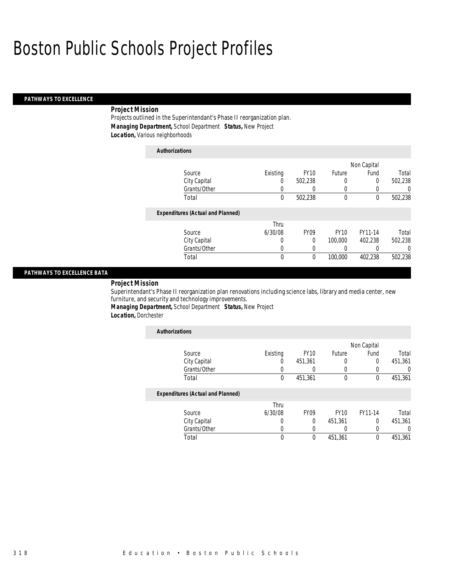# *PATHWAYS TO EXCELLENCE*

# *Project Mission*

Projects outlined in the Superintendant's Phase II reorganization plan. *Managing Department,* School Department *Status,* New Project *Location,* Various neighborhoods

| <b>Authorizations</b>                    |          |             |              |             |          |
|------------------------------------------|----------|-------------|--------------|-------------|----------|
|                                          |          |             |              | Non Capital |          |
| Source                                   | Existing | <b>FY10</b> | Future       | Fund        | Total    |
| City Capital                             | 0        | 502.238     | 0            | 0           | 502,238  |
| Grants/Other                             | 0        |             | 0            |             | $\left($ |
| Total                                    | 0        | 502,238     | $\mathbf{0}$ | $\theta$    | 502,238  |
| <b>Expenditures (Actual and Planned)</b> |          |             |              |             |          |
|                                          | Thru     |             |              |             |          |
| Source                                   | 6/30/08  | <b>FY09</b> | <b>FY10</b>  | FY11-14     | Total    |
| City Capital                             | 0        | 0           | 100,000      | 402.238     | 502.238  |
| Grants/Other                             | 0        |             | 0            |             | $\Omega$ |
| Total                                    | 0        | $\theta$    | 100,000      | 402.238     | 502.238  |

### *PATHWAYS TO EXCELLENCE BATA*

*Project Mission* 

Superintendant's Phase II reorganization plan renovations including science labs, library and media center, new furniture, and security and technology improvements.

*Managing Department,* School Department *Status,* New Project

*Location,* Dorchester

| <b>Authorizations</b>                    |          |                  |               |             |          |
|------------------------------------------|----------|------------------|---------------|-------------|----------|
|                                          |          |                  |               | Non Capital |          |
| Source                                   | Existing | <b>FY10</b>      | <b>Future</b> | Fund        | Total    |
| City Capital                             | 0        | 451.361          |               | $\Omega$    | 451,361  |
| Grants/Other                             |          |                  |               |             | 0        |
| Total                                    | 0        | 451,361          | $\mathbf{0}$  | $\theta$    | 451,361  |
| <b>Expenditures (Actual and Planned)</b> |          |                  |               |             |          |
|                                          | Thru     |                  |               |             |          |
| Source                                   | 6/30/08  | FY <sub>09</sub> | <b>FY10</b>   | FY11-14     | Total    |
| City Capital                             | 0        | $\theta$         | 451,361       | $\Omega$    | 451,361  |
| Grants/Other                             | 0        | 0                |               | 0           | $\left($ |
| Total                                    | 0        | $\theta$         | 451,361       | $\theta$    | 451.361  |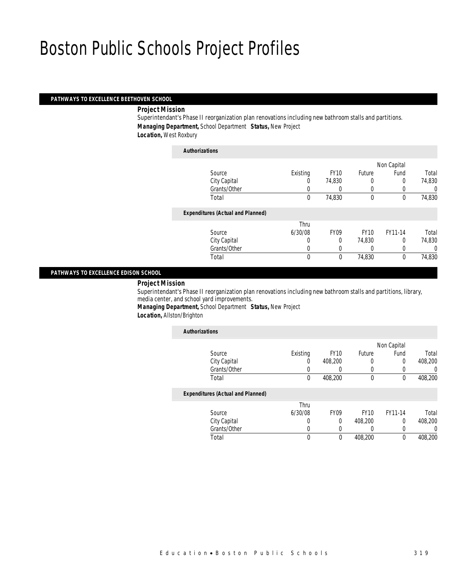#### *PATHWAYS TO EXCELLENCE BEETHOVEN SCHOOL*

*Project Mission* 

Superintendant's Phase II reorganization plan renovations including new bathroom stalls and partitions. *Managing Department,* School Department *Status,* New Project *Location,* West Roxbury

*Authorizations*

| <b>Authorizations</b>                    |             |                  |             |             |        |
|------------------------------------------|-------------|------------------|-------------|-------------|--------|
|                                          |             |                  |             | Non Capital |        |
| Source                                   | Existing    | <b>FY10</b>      | Future      | Fund        | Total  |
| City Capital                             | 0           | 74,830           |             | 0           | 74,830 |
| Grants/Other                             | 0           |                  | 0           |             | 0      |
| Total                                    | $\mathbf 0$ | 74,830           | $\theta$    | 0           | 74,830 |
| <b>Expenditures (Actual and Planned)</b> |             |                  |             |             |        |
|                                          | Thru        |                  |             |             |        |
| Source                                   | 6/30/08     | FY <sub>09</sub> | <b>FY10</b> | FY11-14     | Total  |
| City Capital                             | 0           | $\Omega$         | 74,830      | 0           | 74,830 |
| Grants/Other                             | 0           | $\Omega$         |             | 0           | 0      |
| Total                                    | $\mathbf 0$ | 0                | 74,830      | 0           | 74,830 |
|                                          |             |                  |             |             |        |

### *PATHWAYS TO EXCELLENCE EDISON SCHOOL*

*Project Mission* 

Superintendant's Phase II reorganization plan renovations including new bathroom stalls and partitions, library, media center, and school yard improvements.

*Managing Department,* School Department *Status,* New Project *Location,* Allston/Brighton

| <b>Authorizations</b>                    |             |             |             |             |         |
|------------------------------------------|-------------|-------------|-------------|-------------|---------|
|                                          |             |             |             | Non Capital |         |
| Source                                   | Existing    | <b>FY10</b> | Future      | Fund        | Total   |
| City Capital                             | 0           | 408.200     | 0           | 0           | 408,200 |
| Grants/Other                             |             |             | 0           | 0           | 0       |
| Total                                    | $\mathbf 0$ | 408,200     | 0           | 0           | 408,200 |
| <b>Expenditures (Actual and Planned)</b> |             |             |             |             |         |
|                                          | Thru        |             |             |             |         |
| Source                                   | 6/30/08     | <b>FY09</b> | <b>FY10</b> | FY11-14     | Total   |
| City Capital                             | 0           | 0           | 408.200     | 0           | 408.200 |
| Grants/Other                             | 0           |             | 0           | 0           | 0       |
| Total                                    | 0           | $\Omega$    | 408,200     | 0           | 408.200 |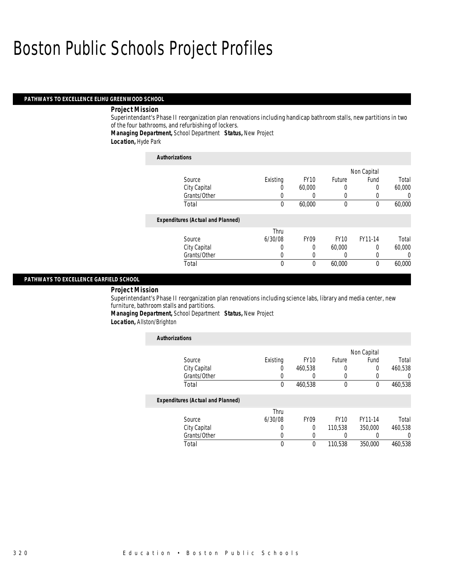# *PATHWAYS TO EXCELLENCE ELIHU GREENWOOD SCHOOL*

#### *Project Mission*

Superintendant's Phase II reorganization plan renovations including handicap bathroom stalls, new partitions in two of the four bathrooms, and refurbishing of lockers.

*Managing Department,* School Department *Status,* New Project

*Location,* Hyde Park

| <b>Authorizations</b>                    |          |             |             |             |          |
|------------------------------------------|----------|-------------|-------------|-------------|----------|
|                                          |          |             |             | Non Capital |          |
| Source                                   | Existing | <b>FY10</b> | Future      | Fund        | Total    |
| City Capital                             | U        | 60,000      |             | 0           | 60,000   |
| Grants/Other                             | 0        | 0           |             |             | $\left($ |
| Total                                    | $\theta$ | 60,000      | $\theta$    | 0           | 60,000   |
| <b>Expenditures (Actual and Planned)</b> |          |             |             |             |          |
|                                          | Thru     |             |             |             |          |
| Source                                   | 6/30/08  | <b>FY09</b> | <b>FY10</b> | FY11-14     | Total    |
| City Capital                             | 0        | 0           | 60,000      | $\Omega$    | 60,000   |
| Grants/Other                             | O        | 0           |             | 0           | 0        |
| Total                                    | 0        | $\theta$    | 60,000      | $\theta$    | 60,000   |

# *PATHWAYS TO EXCELLENCE GARFIELD SCHOOL*

### *Project Mission*

Superintendant's Phase II reorganization plan renovations including science labs, library and media center, new furniture, bathroom stalls and partitions.

*Managing Department,* School Department *Status,* New Project

*Location,* Allston/Brighton

| <b>Authorizations</b>                    |                  |             |             |             |         |
|------------------------------------------|------------------|-------------|-------------|-------------|---------|
|                                          |                  |             |             | Non Capital |         |
| Source                                   | Existing         | <b>FY10</b> | Future      | Fund        | Total   |
| City Capital                             | O                | 460,538     |             | 0           | 460,538 |
| Grants/Other                             | 0                | 0           | 0           | 0           | 0       |
| Total                                    | 0                | 460,538     | $\theta$    | $\theta$    | 460,538 |
| <b>Expenditures (Actual and Planned)</b> |                  |             |             |             |         |
|                                          | Thru             |             |             |             |         |
| Source                                   | 6/30/08          | <b>FY09</b> | <b>FY10</b> | FY11-14     | Total   |
| City Capital                             | 0                | $\theta$    | 110.538     | 350,000     | 460,538 |
| Grants/Other                             | $\left( \right)$ | 0           |             |             | 0       |
| Total                                    | 0                | 0           | 110,538     | 350,000     | 460.538 |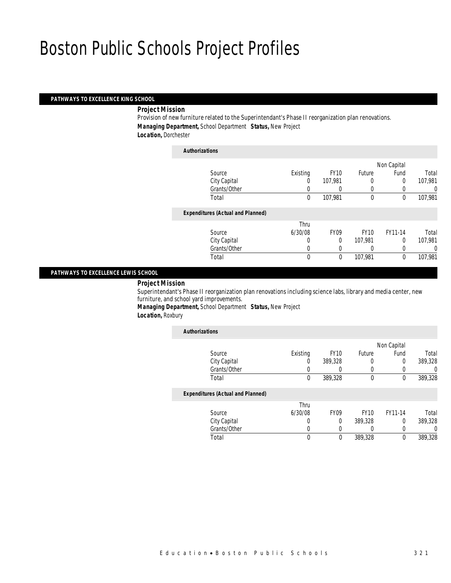# *PATHWAYS TO EXCELLENCE KING SCHOOL*

### *Project Mission*

Provision of new furniture related to the Superintendant's Phase II reorganization plan renovations. *Managing Department,* School Department *Status,* New Project *Location,* Dorchester

### *Authorizations*

|                                          |          |             |             | Non Capital |         |
|------------------------------------------|----------|-------------|-------------|-------------|---------|
| Source                                   | Existing | <b>FY10</b> | Future      | Fund        | Total   |
| City Capital                             | 0        | 107,981     | 0           | 0           | 107,981 |
| Grants/Other                             |          | 0           | $\left($    |             | 0       |
| Total                                    | 0        | 107,981     | $\mathbf 0$ | 0           | 107,981 |
| <b>Expenditures (Actual and Planned)</b> |          |             |             |             |         |
|                                          | Thru     |             |             |             |         |
| Source                                   | 6/30/08  | <b>FY09</b> | <b>FY10</b> | FY11-14     | Total   |
| City Capital                             | 0        | $\theta$    | 107,981     | 0           | 107,981 |
| Grants/Other                             | 0        |             |             |             | 0       |
| Total                                    | 0        | $\theta$    | 107,981     | 0           | 107,981 |
|                                          |          |             |             |             |         |

### *PATHWAYS TO EXCELLENCE LEWIS SCHOOL*

*Project Mission* 

Superintendant's Phase II reorganization plan renovations including science labs, library and media center, new furniture, and school yard improvements.

*Managing Department,* School Department *Status,* New Project *Location,* Roxbury

| <b>Authorizations</b>                    |          |             |             |             |         |
|------------------------------------------|----------|-------------|-------------|-------------|---------|
|                                          |          |             |             | Non Capital |         |
| Source                                   | Existing | <b>FY10</b> | Future      | Fund        | Total   |
| City Capital                             | 0        | 389,328     |             | 0           | 389,328 |
| Grants/Other                             |          |             |             |             | 0       |
| Total                                    | 0        | 389,328     | $\mathbf 0$ | 0           | 389,328 |
| <b>Expenditures (Actual and Planned)</b> |          |             |             |             |         |
|                                          | Thru     |             |             |             |         |
| Source                                   | 6/30/08  | <b>FY09</b> | <b>FY10</b> | FY11-14     | Total   |
| City Capital                             | 0        | $\theta$    | 389,328     | $\Omega$    | 389,328 |
| Grants/Other                             | 0        |             |             |             | 0       |
| Total                                    | 0        | 0           | 389,328     | 0           | 389,328 |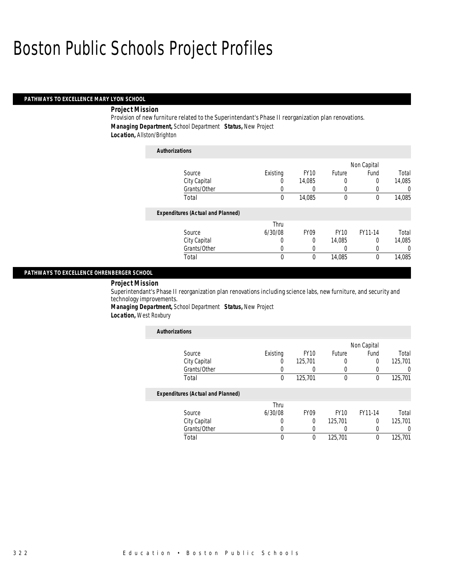# *PATHWAYS TO EXCELLENCE MARY LYON SCHOOL*

#### *Project Mission*

Provision of new furniture related to the Superintendant's Phase II reorganization plan renovations. *Managing Department,* School Department *Status,* New Project *Location,* Allston/Brighton

| <b>Authorizations</b>                    |          |                  |             |             |          |
|------------------------------------------|----------|------------------|-------------|-------------|----------|
|                                          |          |                  |             | Non Capital |          |
| Source                                   | Existing | <b>FY10</b>      | Future      | Fund        | Total    |
| City Capital                             | 0        | 14.085           | 0           | 0           | 14,085   |
| Grants/Other                             | 0        | 0                | 0           | 0           | 0        |
| Total                                    | 0        | 14,085           | 0           | 0           | 14,085   |
| <b>Expenditures (Actual and Planned)</b> |          |                  |             |             |          |
|                                          | Thru     |                  |             |             |          |
| Source                                   | 6/30/08  | FY <sub>09</sub> | <b>FY10</b> | FY11-14     | Total    |
| City Capital                             | 0        | 0                | 14,085      | 0           | 14,085   |
| Grants/Other                             | 0        | 0                | 0           | 0           | $\left($ |
| Total                                    | 0        | 0                | 14,085      | 0           | 14,085   |

#### *PATHWAYS TO EXCELLENCE OHRENBERGER SCHOOL*

### *Project Mission*

Superintendant's Phase II reorganization plan renovations including science labs, new furniture, and security and technology improvements.

*Managing Department,* School Department *Status,* New Project

*Location,* West Roxbury

| <b>Authorizations</b>                    |          |             |               |             |         |
|------------------------------------------|----------|-------------|---------------|-------------|---------|
|                                          |          |             |               | Non Capital |         |
| Source                                   | Existing | <b>FY10</b> | <b>Future</b> | Fund        | Total   |
| City Capital                             | 0        | 125,701     | 0             | $\Omega$    | 125,701 |
| Grants/Other                             | 0        |             | 0             |             |         |
| Total                                    | 0        | 125,701     | $\theta$      | $\theta$    | 125,701 |
| <b>Expenditures (Actual and Planned)</b> |          |             |               |             |         |
|                                          | Thru     |             |               |             |         |
| Source                                   | 6/30/08  | <b>FY09</b> | <b>FY10</b>   | FY11-14     | Total   |
| City Capital                             | 0        | 0           | 125.701       | $\Omega$    | 125,701 |
| Grants/Other                             | 0        |             | 0             |             |         |
| Total                                    | $\theta$ | $\Omega$    | 125,701       | $\Omega$    | 125,701 |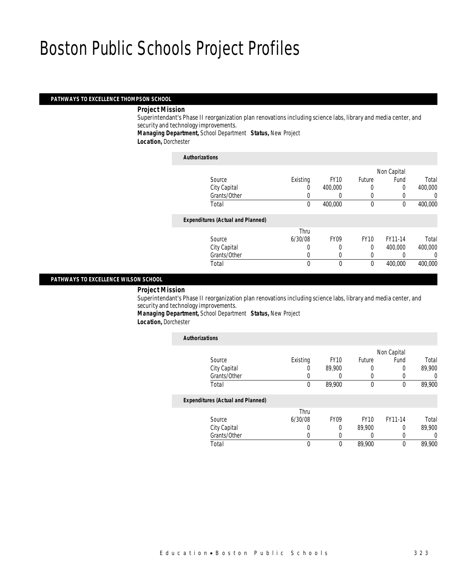#### *PATHWAYS TO EXCELLENCE THOMPSON SCHOOL*

#### *Project Mission*

Superintendant's Phase II reorganization plan renovations including science labs, library and media center, and security and technology improvements.

*Managing Department,* School Department *Status,* New Project

*Location,* Dorchester

#### *Authorizations*

|                                          |          |             |             | Non Capital |         |
|------------------------------------------|----------|-------------|-------------|-------------|---------|
| Source                                   | Existing | <b>FY10</b> | Future      | Fund        | Total   |
| City Capital                             |          | 400,000     |             | 0           | 400,000 |
| Grants/Other                             |          |             | 0           |             | 0       |
| Total                                    | 0        | 400,000     | $\mathbf 0$ | 0           | 400,000 |
| <b>Expenditures (Actual and Planned)</b> |          |             |             |             |         |
|                                          | Thru     |             |             |             |         |
| Source                                   | 6/30/08  | <b>FY09</b> | <b>FY10</b> | FY11-14     | Total   |
| City Capital                             | 0        |             | $\Omega$    | 400,000     | 400,000 |
| Grants/Other                             | 0        | $\left($    |             |             | 0       |
| Total                                    | 0        | $\Omega$    | $\theta$    | 400,000     | 400,000 |
|                                          |          |             |             |             |         |

### *PATHWAYS TO EXCELLENCE WILSON SCHOOL*

*Project Mission* 

Superintendant's Phase II reorganization plan renovations including science labs, library and media center, and security and technology improvements.

*Managing Department,* School Department *Status,* New Project

*Location,* Dorchester

| <b>Authorizations</b>                    |          |             |             |             |                  |
|------------------------------------------|----------|-------------|-------------|-------------|------------------|
|                                          |          |             |             | Non Capital |                  |
| Source                                   | Existing | <b>FY10</b> | Future      | Fund        | Total            |
| City Capital                             | O        | 89.900      | 0           | 0           | 89,900           |
| Grants/Other                             |          |             |             | 0           | 0                |
| Total                                    | 0        | 89.900      | $\theta$    | $\theta$    | 89,900           |
| <b>Expenditures (Actual and Planned)</b> |          |             |             |             |                  |
|                                          | Thru     |             |             |             |                  |
| Source                                   | 6/30/08  | <b>FY09</b> | <b>FY10</b> | FY11-14     | Total            |
| City Capital                             | 0        | $\Omega$    | 89,900      | $\Omega$    | 89,900           |
| Grants/Other                             | U        | $\left($    |             | 0           | $\left( \right)$ |
| Total                                    |          | 0           | 89,900      | 0           | 89.900           |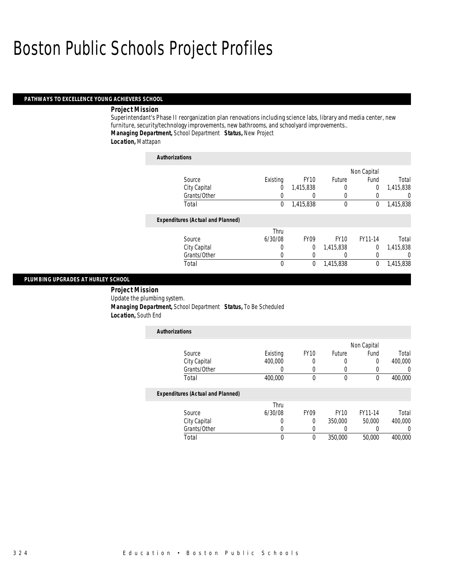### *PATHWAYS TO EXCELLENCE YOUNG ACHIEVERS SCHOOL*

#### *Project Mission*

Superintendant's Phase II reorganization plan renovations including science labs, library and media center, new furniture, security/technology improvements, new bathrooms, and schoolyard improvements.. *Managing Department,* School Department *Status,* New Project

*Location,* Mattapan

| <b>Authorizations</b>                    |          |                  |             |             |                  |
|------------------------------------------|----------|------------------|-------------|-------------|------------------|
|                                          |          |                  |             | Non Capital |                  |
| Source                                   | Existing | <b>FY10</b>      | Future      | Fund        | Total            |
| City Capital                             | 0        | 1,415,838        | 0           | 0           | 1,415,838        |
| Grants/Other                             | 0        | $\left( \right)$ | $\Omega$    | 0           | $\left( \right)$ |
| Total                                    | 0        | 1,415,838        | $\mathbf 0$ | 0           | 1,415,838        |
| <b>Expenditures (Actual and Planned)</b> |          |                  |             |             |                  |
|                                          | Thru     |                  |             |             |                  |
| Source                                   | 6/30/08  | FY <sub>09</sub> | <b>FY10</b> | FY11-14     | Total            |
| City Capital                             | 0        | 0                | 1,415,838   | $\theta$    | 1,415,838        |
| Grants/Other                             | 0        | $\Omega$         | 0           | 0           | 0                |
| Total                                    | 0        | $\mathbf 0$      | 1,415,838   | 0           | 1,415,838        |

# *PLUMBING UPGRADES AT HURLEY SCHOOL*

 *Project Mission* Update the plumbing system. *Managing Department,* School Department *Status,* To Be Scheduled *Location,* South End

| <b>Authorizations</b>                    |          |             |             |             |         |
|------------------------------------------|----------|-------------|-------------|-------------|---------|
|                                          |          |             |             | Non Capital |         |
| Source                                   | Existing | <b>FY10</b> | Future      | Fund        | Total   |
| City Capital                             | 400,000  | 0           | 0           | 0           | 400.000 |
| Grants/Other                             | 0        | 0           | 0           | 0           | 0       |
| Total                                    | 400,000  | $\theta$    | $\theta$    | $\theta$    | 400,000 |
| <b>Expenditures (Actual and Planned)</b> |          |             |             |             |         |
|                                          | Thru     |             |             |             |         |
| Source                                   | 6/30/08  | <b>FY09</b> | <b>FY10</b> | FY11-14     | Total   |
| City Capital                             | 0        | $\Omega$    | 350,000     | 50,000      | 400,000 |
| Grants/Other                             | 0        | $\Omega$    |             |             | 0       |
| Total                                    | 0        | $\theta$    | 350,000     | 50,000      | 400,000 |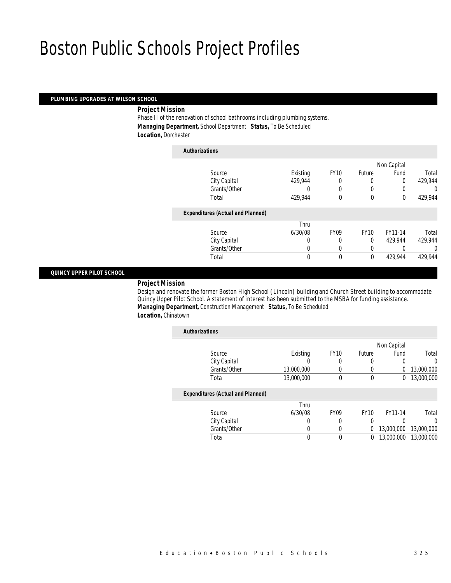### *PLUMBING UPGRADES AT WILSON SCHOOL*

*Project Mission* 

Phase II of the renovation of school bathrooms including plumbing systems. *Managing Department,* School Department *Status,* To Be Scheduled *Location,* Dorchester

| <b>Authorizations</b>                    |          |             |             |             |         |
|------------------------------------------|----------|-------------|-------------|-------------|---------|
|                                          |          |             |             | Non Capital |         |
| Source                                   | Existing | <b>FY10</b> | Future      | Fund        | Total   |
| City Capital                             | 429.944  | 0           | 0           | $\Omega$    | 429,944 |
| Grants/Other                             | 0        | $\Omega$    | 0           |             | 0       |
| Total                                    | 429,944  | $\theta$    | $\theta$    | $\theta$    | 429,944 |
| <b>Expenditures (Actual and Planned)</b> |          |             |             |             |         |
|                                          | Thru     |             |             |             |         |
| Source                                   | 6/30/08  | <b>FY09</b> | <b>FY10</b> | FY11-14     | Total   |
| City Capital                             | 0        | 0           | $\theta$    | 429.944     | 429,944 |
| Grants/Other                             | 0        | 0           | 0           | 0           | 0       |
| Total                                    | 0        | $\theta$    | 0           | 429,944     | 429,944 |

#### *QUINCY UPPER PILOT SCHOOL*

### *Project Mission*

Design and renovate the former Boston High School (Lincoln) building and Church Street building to accommodate Quincy Upper Pilot School. A statement of interest has been submitted to the MSBA for funding assistance. *Managing Department,* Construction Management *Status,* To Be Scheduled *Location,* Chinatown

| <b>Authorizations</b>                    |            |             |             |             |            |
|------------------------------------------|------------|-------------|-------------|-------------|------------|
|                                          |            |             |             | Non Capital |            |
| Source                                   | Existing   | <b>FY10</b> | Future      | Fund        | Total      |
| City Capital                             | 0          | 0           | 0           | 0           | $\Omega$   |
| Grants/Other                             | 13,000,000 |             | 0           | 0           | 13,000,000 |
| Total                                    | 13,000,000 | 0           | 0           | 0           | 13,000,000 |
| <b>Expenditures (Actual and Planned)</b> |            |             |             |             |            |
|                                          | Thru       |             |             |             |            |
| Source                                   | 6/30/08    | <b>FY09</b> | <b>FY10</b> | FY11-14     | Total      |
| City Capital                             | 0          | 0           | 0           | 0           | 0          |
| Grants/Other                             | 0          | 0           | 0           | 13,000,000  | 13,000,000 |
| Total                                    | 0          | 0           | 0           | 13,000,000  | 13,000,000 |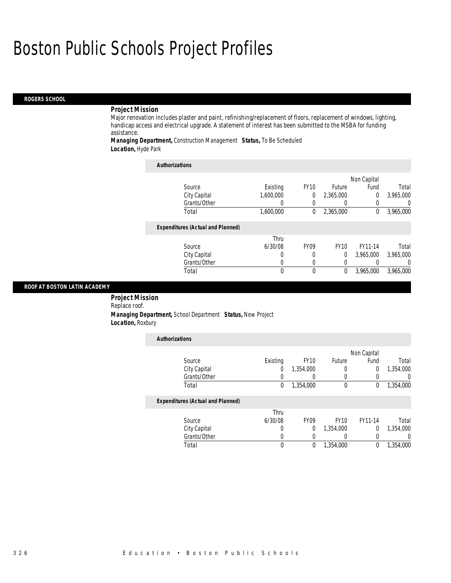#### *ROGERS SCHOOL*

#### *Project Mission*

Major renovation includes plaster and paint, refinishing/replacement of floors, replacement of windows, lighting, handicap access and electrical upgrade. A statement of interest has been submitted to the MSBA for funding assistance.

*Managing Department,* Construction Management *Status,* To Be Scheduled *Location,* Hyde Park

| <b>Authorizations</b>                    |                  |                  |             |                  |                  |
|------------------------------------------|------------------|------------------|-------------|------------------|------------------|
|                                          |                  |                  |             | Non Capital      |                  |
| Source                                   | Existing         | <b>FY10</b>      | Future      | Fund             | Total            |
| City Capital                             | 1,600,000        | 0                | 2.365.000   | 0                | 3,965,000        |
| Grants/Other                             | 0                | $\left( \right)$ | O           | $\left( \right)$ | $\left( \right)$ |
| Total                                    | 1,600,000        | 0                | 2,365,000   | $\theta$         | 3,965,000        |
| <b>Expenditures (Actual and Planned)</b> |                  |                  |             |                  |                  |
|                                          | Thru             |                  |             |                  |                  |
| Source                                   | 6/30/08          | <b>FY09</b>      | <b>FY10</b> | FY11-14          | Total            |
| City Capital                             | 0                | 0                | 0           | 3,965,000        | 3,965,000        |
| Grants/Other                             | $\left( \right)$ | 0                | 0           |                  | $\Omega$         |
| Total                                    | 0                | $\Omega$         | 0           | 3,965,000        | 3,965,000        |

#### *ROOF AT BOSTON LATIN ACADEMY*

 *Project Mission* Replace roof. *Managing Department,* School Department *Status,* New Project *Location,* Roxbury

| <b>Authorizations</b>                    |          |             |             |             |                  |
|------------------------------------------|----------|-------------|-------------|-------------|------------------|
|                                          |          |             |             | Non Capital |                  |
| Source                                   | Existing | <b>FY10</b> | Future      | Fund        | Total            |
| City Capital                             | 0        | 1,354,000   | 0           | 0           | 1,354,000        |
| Grants/Other                             | 0        | O           |             | O           | $\left( \right)$ |
| Total                                    | 0        | 1,354,000   | 0           | 0           | 1,354,000        |
| <b>Expenditures (Actual and Planned)</b> |          |             |             |             |                  |
|                                          | Thru     |             |             |             |                  |
| Source                                   | 6/30/08  | <b>FY09</b> | <b>FY10</b> | FY11-14     | Total            |
| City Capital                             | $\left($ | 0           | 1,354,000   | $\Omega$    | 1,354,000        |
| Grants/Other                             | 0        | 0           |             | 0           | 0                |
| Total                                    | 0        | 0           | 1,354,000   | 0           | 1.354.000        |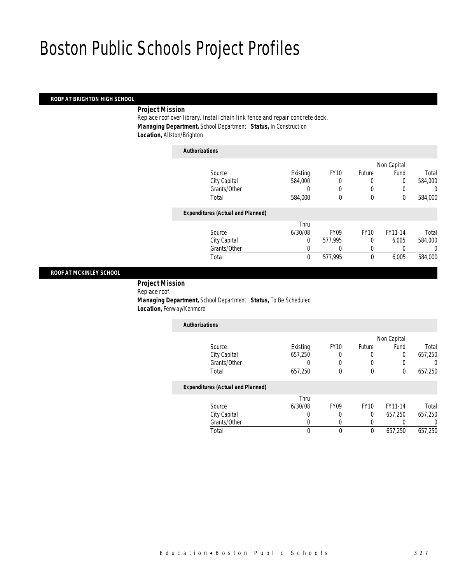# *ROOF AT BRIGHTON HIGH SCHOOL*

# *Project Mission*

Replace roof over library. Install chain link fence and repair concrete deck. *Managing Department,* School Department *Status,* In Construction *Location,* Allston/Brighton

| <b>Authorizations</b>                    |          |                  |             |             |         |
|------------------------------------------|----------|------------------|-------------|-------------|---------|
|                                          |          |                  |             | Non Capital |         |
| Source                                   | Existing | <b>FY10</b>      | Future      | Fund        | Total   |
| City Capital                             | 584,000  | 0                | 0           | 0           | 584,000 |
| Grants/Other                             | 0        |                  | $\left($    |             | 0       |
| Total                                    | 584,000  | 0                | 0           | 0           | 584,000 |
| <b>Expenditures (Actual and Planned)</b> |          |                  |             |             |         |
|                                          | Thru     |                  |             |             |         |
| Source                                   | 6/30/08  | FY <sub>09</sub> | <b>FY10</b> | FY11-14     | Total   |
| City Capital                             | 0        | 577,995          | 0           | 6.005       | 584,000 |

#### *ROOF AT MCKINLEY SCHOOL*

 *Project Mission* Replace roof. *Managing Department,* School Department *Status,* To Be Scheduled *Location,* Fenway/Kenmore

| <b>Authorizations</b>                    |          |             |               |             |         |
|------------------------------------------|----------|-------------|---------------|-------------|---------|
|                                          |          |             |               | Non Capital |         |
| Source                                   | Existing | <b>FY10</b> | <b>Future</b> | Fund        | Total   |
| City Capital                             | 657,250  | 0           | O             |             | 657,250 |
| Grants/Other                             |          |             |               |             |         |
| Total                                    | 657,250  | 0           | 0             |             | 657,250 |
| <b>Expenditures (Actual and Planned)</b> |          |             |               |             |         |
|                                          | Thru     |             |               |             |         |

Grants/Other 0 0 0 0 0 0

Total 0 577,995 0 6,005 584,000

|        | "hru    |      |
|--------|---------|------|
| Source | 6/30/08 | :Y09 |

| Source       | 6/30/08 | FY09 | FY10 | FY11-14 | Total   |
|--------------|---------|------|------|---------|---------|
| City Capital |         |      |      | 657.250 | 657,250 |
| Grants/Other |         |      |      |         |         |
| ⊺otal        |         |      |      | 657.250 | 657,250 |
|              |         |      |      |         |         |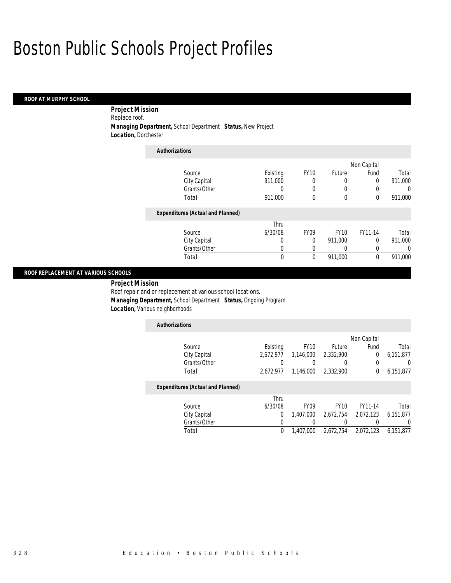### *ROOF AT MURPHY SCHOOL*

*Project Mission* 

Replace roof.

 *Managing Department,* School Department *Status,* New Project *Location,* Dorchester

| <b>Authorizations</b>                    |          |             |               |              |         |
|------------------------------------------|----------|-------------|---------------|--------------|---------|
|                                          |          |             |               | Non Capital  |         |
| Source                                   | Existing | <b>FY10</b> | <b>Future</b> | Fund         | Total   |
| City Capital                             | 911,000  | 0           | 0             | $\Omega$     | 911,000 |
| Grants/Other                             | 0        | 0           | 0             |              | 0       |
| Total                                    | 911,000  | 0           | $\theta$      | $\mathbf{0}$ | 911,000 |
| <b>Expenditures (Actual and Planned)</b> |          |             |               |              |         |
|                                          | Thru     |             |               |              |         |
| Source                                   | 6/30/08  | <b>FY09</b> | <b>FY10</b>   | FY11-14      | Total   |
| City Capital                             | 0        | $\Omega$    | 911,000       | $\Omega$     | 911.000 |
| Grants/Other                             | 0        | 0           | 0             | 0            | 0       |
| Total                                    | 0        | $\theta$    | 911.000       | $\Omega$     | 911.000 |

### *ROOF REPLACEMENT AT VARIOUS SCHOOLS*

*Project Mission* 

Roof repair and or replacement at various school locations.

*Managing Department,* School Department *Status,* Ongoing Program

*Location,* Various neighborhoods

| <b>Authorizations</b> |           |                  |           |             |           |
|-----------------------|-----------|------------------|-----------|-------------|-----------|
|                       |           |                  |           | Non Capital |           |
| Source                | Existing  | FY <sub>10</sub> | Future    | Fund        | Total     |
| City Capital          | 2.672.977 | 1,146,000        | 2,332,900 |             | 6,151,877 |
| Grants/Other          |           |                  |           |             |           |
| Total                 | 2.672.977 | 1,146,000        | 2,332,900 |             | 6,151,877 |

### *Expenditures (Actual and Planned)*

|              | Thru    |                  |                  |                               |       |
|--------------|---------|------------------|------------------|-------------------------------|-------|
| Source       | 6/30/08 | FY <sub>09</sub> | FY <sub>10</sub> | FY11-14                       | Total |
| City Capital |         | 1.407.000        | 2.672.754        | 2,072,123 6,151,877           |       |
| Grants/Other |         |                  |                  |                               |       |
| Total        |         | 1,407,000        |                  | 2,672,754 2,072,123 6,151,877 |       |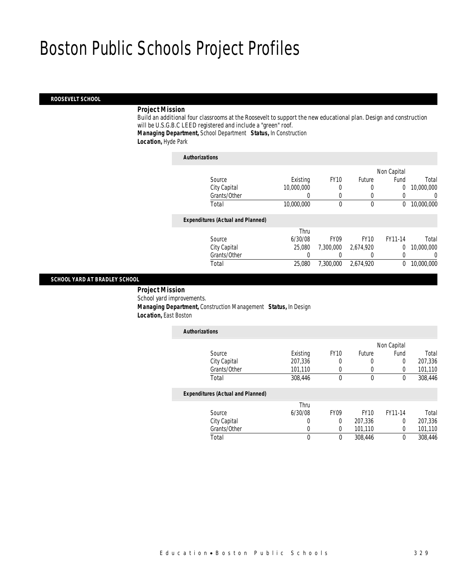#### *ROOSEVELT SCHOOL*

# *Project Mission*

Build an additional four classrooms at the Roosevelt to support the new educational plan. Design and construction will be U.S.G.B.C LEED registered and include a "green" roof. *Managing Department,* School Department *Status,* In Construction

*Location,* Hyde Park

| <b>Authorizations</b>                    |            |             |             |                |            |
|------------------------------------------|------------|-------------|-------------|----------------|------------|
|                                          |            |             |             | Non Capital    |            |
| Source                                   | Existing   | <b>FY10</b> | Future      | Fund           | Total      |
| City Capital                             | 10,000,000 | 0           | 0           | $\overline{0}$ | 10,000,000 |
| Grants/Other                             |            | $\Omega$    | 0           | 0              | 0          |
| Total                                    | 10,000,000 | 0           | 0           | 0              | 10,000,000 |
| <b>Expenditures (Actual and Planned)</b> |            |             |             |                |            |
|                                          | Thru       |             |             |                |            |
| Source                                   | 6/30/08    | <b>FY09</b> | <b>FY10</b> | FY11-14        | Total      |
| City Capital                             | 25,080     | 7.300.000   | 2,674,920   | $\overline{0}$ | 10,000,000 |
| Grants/Other                             | 0          |             |             | 0              | 0          |
| Total                                    | 25,080     | 7.300.000   | 2.674.920   | 0              | 10,000,000 |
|                                          |            |             |             |                |            |

# *SCHOOL YARD AT BRADLEY SCHOOL*

 *Project Mission* School yard improvements. *Managing Department,* Construction Management *Status,* In Design *Location,* East Boston

| <b>Authorizations</b>                    |          |             |             |             |         |
|------------------------------------------|----------|-------------|-------------|-------------|---------|
|                                          |          |             |             | Non Capital |         |
| Source                                   | Existing | <b>FY10</b> | Future      | Fund        | Total   |
| City Capital                             | 207,336  | 0           | 0           | 0           | 207,336 |
| Grants/Other                             | 101,110  | 0           | 0           | 0           | 101,110 |
| Total                                    | 308,446  | $\Omega$    | 0           | 0           | 308,446 |
| <b>Expenditures (Actual and Planned)</b> |          |             |             |             |         |
|                                          | Thru     |             |             |             |         |
| Source                                   | 6/30/08  | <b>FY09</b> | <b>FY10</b> | FY11-14     | Total   |
| City Capital                             | 0        | $\Omega$    | 207,336     | 0           | 207,336 |
| Grants/Other                             | 0        | 0           | 101,110     | 0           | 101,110 |
| Total                                    | 0        | 0           | 308,446     | 0           | 308.446 |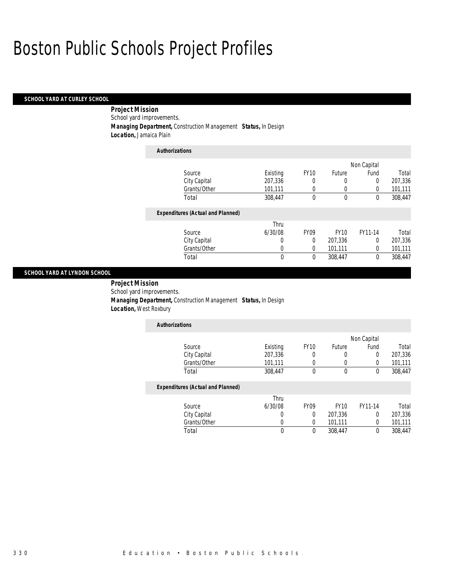### *SCHOOL YARD AT CURLEY SCHOOL*

 *Project Mission* School yard improvements.

 *Managing Department,* Construction Management *Status,* In Design *Location,* Jamaica Plain

| <b>Authorizations</b>                    |          |                  |             |             |         |
|------------------------------------------|----------|------------------|-------------|-------------|---------|
|                                          |          |                  |             | Non Capital |         |
| Source                                   | Existing | <b>FY10</b>      | Future      | Fund        | Total   |
| City Capital                             | 207,336  | 0                | 0           | $\Omega$    | 207,336 |
| Grants/Other                             | 101,111  | 0                | 0           | $\Omega$    | 101,111 |
| Total                                    | 308.447  | 0                | $\mathbf 0$ | 0           | 308,447 |
| <b>Expenditures (Actual and Planned)</b> |          |                  |             |             |         |
|                                          | Thru     |                  |             |             |         |
| Source                                   | 6/30/08  | FY <sub>09</sub> | <b>FY10</b> | FY11-14     | Total   |
| City Capital                             | 0        | $\Omega$         | 207,336     | $\Omega$    | 207,336 |
| Grants/Other                             | 0        | $\Omega$         | 101,111     | $\Omega$    | 101,111 |
| Total                                    | 0        | 0                | 308.447     | $\theta$    | 308.447 |

### *SCHOOL YARD AT LYNDON SCHOOL*

 *Project Mission* School yard improvements. *Managing Department,* Construction Management *Status,* In Design *Location,* West Roxbury

| <b>Authorizations</b>                    |          |             |             |             |         |
|------------------------------------------|----------|-------------|-------------|-------------|---------|
|                                          |          |             |             | Non Capital |         |
| Source                                   | Existing | <b>FY10</b> | Future      | Fund        | Total   |
| City Capital                             | 207,336  | 0           | 0           | 0           | 207,336 |
| Grants/Other                             | 101,111  | 0           | $\left($    | 0           | 101,111 |
| Total                                    | 308,447  | $\mathbf 0$ | $\theta$    | 0           | 308,447 |
| <b>Expenditures (Actual and Planned)</b> |          |             |             |             |         |
|                                          | Thru     |             |             |             |         |
| Source                                   | 6/30/08  | <b>FY09</b> | <b>FY10</b> | FY11-14     | Total   |

| <b>SOUrce</b> | 6/30/08 | FY (19 | FY 10   | FYTT-T4 | lotal   |
|---------------|---------|--------|---------|---------|---------|
| City Capital  |         |        | 207.336 |         | 207,336 |
| Grants/Other  |         |        | 101.111 |         | 101.111 |
| ™otal         |         |        | 308.447 |         | 308,447 |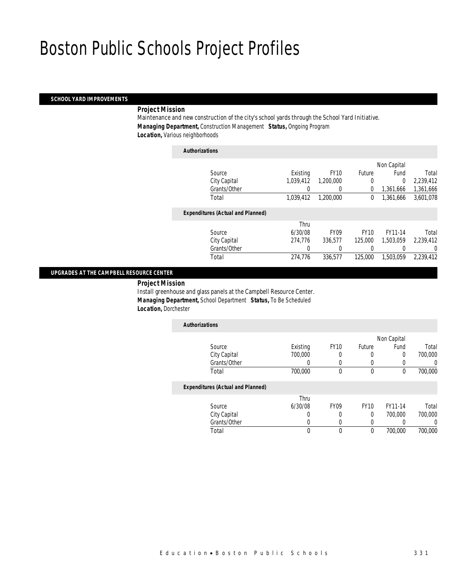# *SCHOOL YARD IMPROVEMENTS*

# *Project Mission*

Maintenance and new construction of the city's school yards through the School Yard Initiative. *Managing Department,* Construction Management *Status,* Ongoing Program *Location,* Various neighborhoods

### *Authorizations*

|                                          |           |                  |             | Non Capital |           |
|------------------------------------------|-----------|------------------|-------------|-------------|-----------|
| Source                                   | Existing  | <b>FY10</b>      | Future      | Fund        | Total     |
| City Capital                             | 1,039,412 | 1,200,000        | 0           | 0           | 2,239,412 |
| Grants/Other                             | 0         |                  | 0           | 1.361.666   | 1,361,666 |
| Total                                    | 1.039.412 | 1.200.000        | 0           | 1,361,666   | 3,601,078 |
| <b>Expenditures (Actual and Planned)</b> |           |                  |             |             |           |
|                                          | Thru      |                  |             |             |           |
| Source                                   | 6/30/08   | FY <sub>09</sub> | <b>FY10</b> | FY11-14     | Total     |
| City Capital                             | 274,776   | 336.577          | 125,000     | 1.503.059   | 2,239,412 |
| Grants/Other                             | 0         |                  |             |             | 0         |
| Total                                    | 274,776   | 336,577          | 125,000     | 1,503,059   | 2,239,412 |
|                                          |           |                  |             |             |           |

### *UPGRADES AT THE CAMPBELL RESOURCE CENTER*

*Project Mission* 

Install greenhouse and glass panels at the Campbell Resource Center. *Managing Department,* School Department *Status,* To Be Scheduled *Location,* Dorchester

| <b>Authorizations</b>                                                                                                               |          |             |        |             |         |
|-------------------------------------------------------------------------------------------------------------------------------------|----------|-------------|--------|-------------|---------|
|                                                                                                                                     |          |             |        | Non Capital |         |
| Source                                                                                                                              | Existing | <b>FY10</b> | Future | Fund        | Total   |
| City Capital                                                                                                                        | 700,000  | 0           | O      |             | 700,000 |
| Grants/Other                                                                                                                        |          |             |        |             |         |
| Total                                                                                                                               | 700,000  |             | 0      |             | 700,000 |
| $\mathbf{F}$ and $\mathbf{F}$ and $\mathbf{F}$ and $\mathbf{F}$ and $\mathbf{F}$ and $\mathbf{F}$ and $\mathbf{F}$ and $\mathbf{F}$ |          |             |        |             |         |

#### *Expenditures (Actual and Planned)*

|              | Thru    |             |             |         |         |
|--------------|---------|-------------|-------------|---------|---------|
| Source       | 6/30/08 | <b>FY09</b> | <b>FY10</b> | FY11-14 | Total   |
| City Capital |         |             |             | 700.000 | 700,000 |
| Grants/Other |         |             |             |         |         |
| Total        |         |             |             | 700.000 | 700,000 |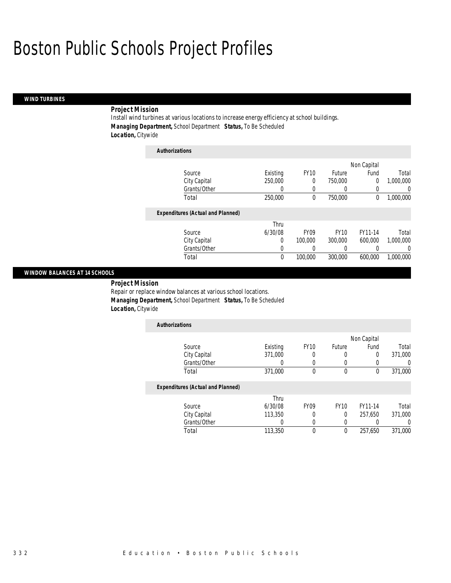### *WIND TURBINES*

# *Project Mission*

Install wind turbines at various locations to increase energy efficiency at school buildings. *Managing Department,* School Department *Status,* To Be Scheduled *Location,* Citywide

| <b>Authorizations</b>                    |          |             |             |             |           |
|------------------------------------------|----------|-------------|-------------|-------------|-----------|
|                                          |          |             |             | Non Capital |           |
| Source                                   | Existing | <b>FY10</b> | Future      | Fund        | Total     |
| City Capital                             | 250,000  | 0           | 750,000     | 0           | 1.000.000 |
| Grants/Other                             | 0        | 0           | 0           | 0           | U         |
| Total                                    | 250,000  | 0           | 750,000     | 0           | 1,000,000 |
| <b>Expenditures (Actual and Planned)</b> |          |             |             |             |           |
|                                          | Thru     |             |             |             |           |
| Source                                   | 6/30/08  | <b>FY09</b> | <b>FY10</b> | FY11-14     | Total     |
| City Capital                             | 0        | 100,000     | 300,000     | 600,000     | 1,000,000 |
| Grants/Other                             | 0        | 0           | 0           | 0           | 0         |
| Total                                    | 0        | 100,000     | 300,000     | 600,000     | 1,000,000 |

### *WINDOW BALANCES AT 14 SCHOOLS*

*Project Mission* 

Repair or replace window balances at various school locations. *Managing Department,* School Department *Status,* To Be Scheduled *Location,* Citywide

| <b>Authorizations</b>                    |          |             |             |             |         |
|------------------------------------------|----------|-------------|-------------|-------------|---------|
|                                          |          |             |             | Non Capital |         |
| Source                                   | Existing | <b>FY10</b> | Future      | Fund        | Total   |
| City Capital                             | 371,000  | 0           | 0           | 0           | 371,000 |
| Grants/Other                             |          | 0           | 0           |             |         |
| Total                                    | 371,000  | 0           | 0           | 0           | 371,000 |
| <b>Expenditures (Actual and Planned)</b> |          |             |             |             |         |
|                                          | Thru     |             |             |             |         |
| Source                                   | 6/30/08  | <b>FY09</b> | <b>FY10</b> | FY11-14     | Total   |
| City Capital                             | 113,350  | 0           | 0           | 257.650     | 371,000 |
| Grants/Other                             | 0        | 0           | 0           |             |         |
| Total                                    | 113,350  | 0           | 0           | 257.650     | 371,000 |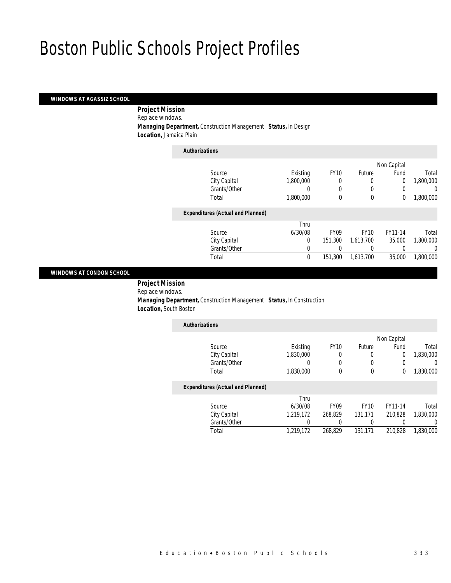# *WINDOWS AT AGASSIZ SCHOOL*

*Project Mission* 

Replace windows.

*Managing Department,* Construction Management *Status,* In Design

*Location,* Jamaica Plain

| <b>Authorizations</b>                    |           |             |             |                |           |
|------------------------------------------|-----------|-------------|-------------|----------------|-----------|
|                                          |           |             |             | Non Capital    |           |
| Source                                   | Existing  | <b>FY10</b> | Future      | Fund           | Total     |
| City Capital                             | 1,800,000 |             | 0           | $\overline{0}$ | 1,800,000 |
| Grants/Other                             | 0         | $\Omega$    | 0           | 0              | 0         |
| Total                                    | 1,800,000 | 0           | $\mathbf 0$ | 0              | 1,800,000 |
| <b>Expenditures (Actual and Planned)</b> |           |             |             |                |           |
|                                          | Thru      |             |             |                |           |
| Source                                   | 6/30/08   | <b>FY09</b> | <b>FY10</b> | FY11-14        | Total     |
| City Capital                             | 0         | 151,300     | 1,613,700   | 35,000         | 1,800,000 |
| Grants/Other                             | 0         |             |             |                | 0         |
| Total                                    | 0         | 151,300     | 1,613,700   | 35,000         | 1.800.000 |
|                                          |           |             |             |                |           |

#### *WINDOWS AT CONDON SCHOOL*

 *Project Mission* Replace windows. *Managing Department,* Construction Management *Status,* In Construction *Location,* South Boston

| <b>Authorizations</b>                    |           |             |        |             |           |
|------------------------------------------|-----------|-------------|--------|-------------|-----------|
|                                          |           |             |        | Non Capital |           |
| Source                                   | Existing  | <b>FY10</b> | Future | Fund        | Total     |
| City Capital                             | 1,830,000 |             |        | 0           | 1,830,000 |
| Grants/Other                             |           |             |        |             |           |
| Total                                    | 1,830,000 |             |        | 0           | 1,830,000 |
| <b>Expenditures (Actual and Planned)</b> |           |             |        |             |           |

| Total     |
|-----------|
| 1,830,000 |
|           |
| 1,830,000 |
|           |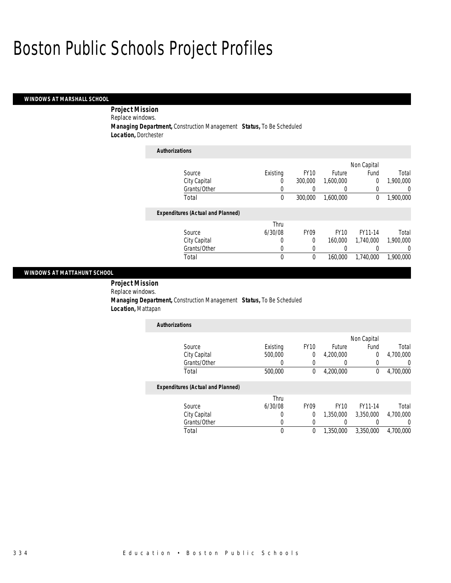### *WINDOWS AT MARSHALL SCHOOL*

*Project Mission* 

Replace windows.

*Managing Department,* Construction Management *Status,* To Be Scheduled

*Location,* Dorchester

| <b>Authorizations</b>                    |          |             |             |             |           |
|------------------------------------------|----------|-------------|-------------|-------------|-----------|
|                                          |          |             |             | Non Capital |           |
| Source                                   | Existing | <b>FY10</b> | Future      | Fund        | Total     |
| City Capital                             | 0        | 300,000     | 1.600.000   | 0           | 1.900.000 |
| Grants/Other                             | 0        | 0           | 0           | 0           | 0         |
| Total                                    | 0        | 300,000     | 1.600.000   | $\theta$    | 1,900,000 |
| <b>Expenditures (Actual and Planned)</b> |          |             |             |             |           |
|                                          | Thru     |             |             |             |           |
| Source                                   | 6/30/08  | <b>FY09</b> | <b>FY10</b> | FY11-14     | Total     |
| City Capital                             | 0        | 0           | 160,000     | 1,740,000   | 1.900.000 |
| Grants/Other                             | 0        | 0           | 0           |             | 0         |
| Total                                    | 0        | 0           | 160,000     | 1,740,000   | 1,900,000 |

### *WINDOWS AT MATTAHUNT SCHOOL*

 *Project Mission* Replace windows.

 *Managing Department,* Construction Management *Status,* To Be Scheduled *Location,* Mattapan

| <b>Authorizations</b> |          |             |           |             |           |
|-----------------------|----------|-------------|-----------|-------------|-----------|
|                       |          |             |           | Non Capital |           |
| Source                | Existing | <b>FY10</b> | Future    | Fund        | Total     |
| City Capital          | 500,000  |             | 4,200,000 |             | 4,700,000 |
| Grants/Other          |          |             |           |             |           |
| Total                 | 500,000  |             | 4,200,000 |             | 4,700,000 |

### *Expenditures (Actual and Planned)*

|              | Thru    |                  |             |           |           |
|--------------|---------|------------------|-------------|-----------|-----------|
| Source       | 6/30/08 | FY <sub>09</sub> | <b>FY10</b> | FY11-14   | Total     |
| City Capital |         |                  | 1.350.000   | 3,350,000 | 4,700,000 |
| Grants/Other |         |                  |             |           |           |
| Total        |         |                  | 1,350,000   | 3,350,000 | 4.700.000 |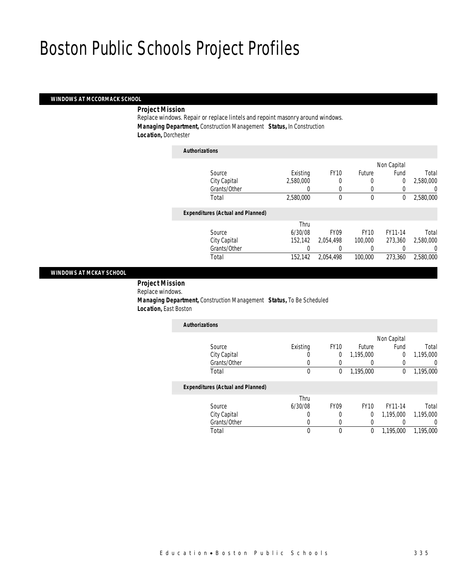#### *WINDOWS AT MCCORMACK SCHOOL*

*Project Mission* 

Replace windows. Repair or replace lintels and repoint masonry around windows. *Managing Department,* Construction Management *Status,* In Construction *Location,* Dorchester

| <b>Authorizations</b>                    |           |             |             |                |           |
|------------------------------------------|-----------|-------------|-------------|----------------|-----------|
|                                          |           |             |             | Non Capital    |           |
| Source                                   | Existing  | <b>FY10</b> | Future      | Fund           | Total     |
| City Capital                             | 2,580,000 |             | 0           | $\overline{0}$ | 2,580,000 |
| Grants/Other                             | 0         | $\Omega$    | 0           |                | 0         |
| Total                                    | 2,580,000 | $\theta$    | $\mathbf 0$ | 0              | 2,580,000 |
| <b>Expenditures (Actual and Planned)</b> |           |             |             |                |           |
|                                          | Thru      |             |             |                |           |
| Source                                   | 6/30/08   | <b>FY09</b> | <b>FY10</b> | FY11-14        | Total     |
| City Capital                             | 152.142   | 2.054.498   | 100,000     | 273.360        | 2,580,000 |
| Grants/Other                             |           | 0           | $\left($    |                | 0         |
| Total                                    | 152,142   | 2,054,498   | 100,000     | 273,360        | 2.580.000 |
|                                          |           |             |             |                |           |

#### *WINDOWS AT MCKAY SCHOOL*

 *Project Mission* Replace windows. *Managing Department,* Construction Management *Status,* To Be Scheduled *Location,* East Boston

| <b>Authorizations</b>             |          |             |           |             |           |
|-----------------------------------|----------|-------------|-----------|-------------|-----------|
|                                   |          |             |           | Non Capital |           |
| Source                            | Existing | <b>FY10</b> | Future    | Fund        | Total     |
| City Capital                      | U        | J.          | 1,195,000 | 0           | 1,195,000 |
| Grants/Other                      |          |             |           |             |           |
| Total                             |          | 0           | 1,195,000 |             | 1,195,000 |
| Expanditures (Astual and Blompad) |          |             |           |             |           |

# *Expenditures (Actual and Planned)*

|              | Thru    |             |             |           |           |
|--------------|---------|-------------|-------------|-----------|-----------|
| Source       | 6/30/08 | <b>FY09</b> | <b>FY10</b> | FY11-14   | Total     |
| City Capital |         |             |             | 1.195.000 | 1,195,000 |
| Grants/Other |         |             |             |           |           |
| Total        |         |             |             | 1.195.000 | 1,195,000 |
|              |         |             |             |           |           |